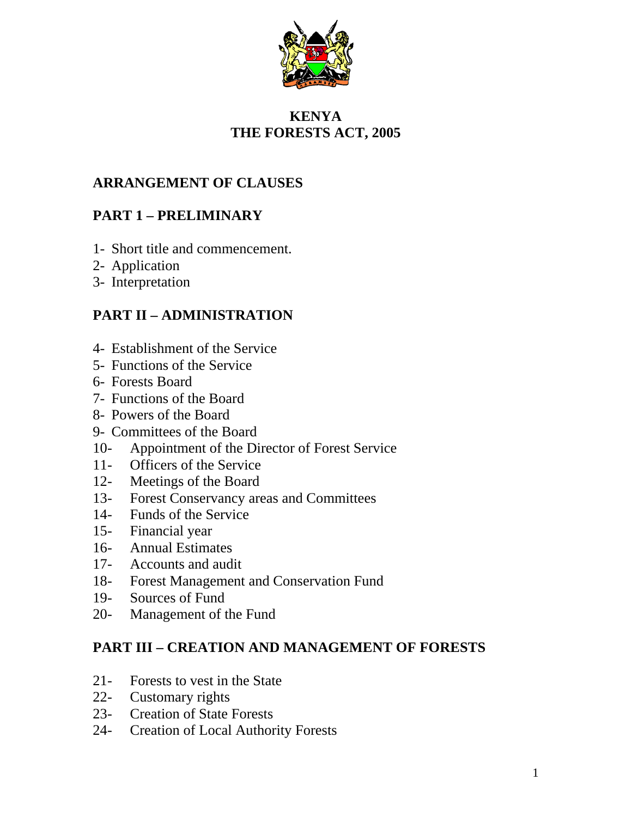

# **KENYA THE FORESTS ACT, 2005**

# **ARRANGEMENT OF CLAUSES**

# **PART 1 – PRELIMINARY**

- 1- Short title and commencement.
- 2- Application
- 3- Interpretation

# **PART II – ADMINISTRATION**

- 4- Establishment of the Service
- 5- Functions of the Service
- 6- Forests Board
- 7- Functions of the Board
- 8- Powers of the Board
- 9- Committees of the Board
- 10- Appointment of the Director of Forest Service
- 11- Officers of the Service
- 12- Meetings of the Board
- 13- Forest Conservancy areas and Committees
- 14- Funds of the Service
- 15- Financial year
- 16- Annual Estimates
- 17- Accounts and audit
- 18- Forest Management and Conservation Fund
- 19- Sources of Fund
- 20- Management of the Fund

## **PART III – CREATION AND MANAGEMENT OF FORESTS**

- 21- Forests to vest in the State
- 22- Customary rights
- 23- Creation of State Forests
- 24- Creation of Local Authority Forests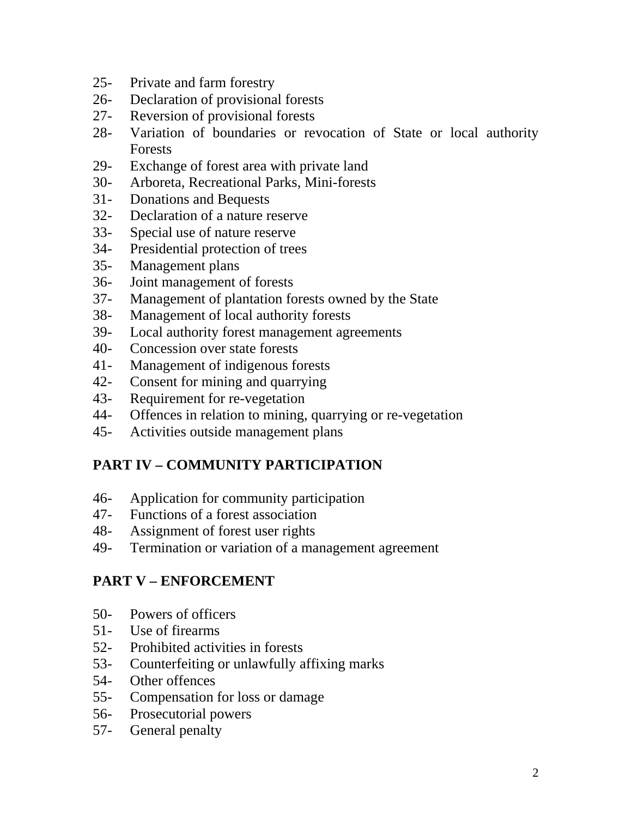- 25- Private and farm forestry
- 26- Declaration of provisional forests
- 27- Reversion of provisional forests
- 28- Variation of boundaries or revocation of State or local authority Forests
- 29- Exchange of forest area with private land
- 30- Arboreta, Recreational Parks, Mini-forests
- 31- Donations and Bequests
- 32- Declaration of a nature reserve
- 33- Special use of nature reserve
- 34- Presidential protection of trees
- 35- Management plans
- 36- Joint management of forests
- 37- Management of plantation forests owned by the State
- 38- Management of local authority forests
- 39- Local authority forest management agreements
- 40- Concession over state forests
- 41- Management of indigenous forests
- 42- Consent for mining and quarrying
- 43- Requirement for re-vegetation
- 44- Offences in relation to mining, quarrying or re-vegetation
- 45- Activities outside management plans

# **PART IV – COMMUNITY PARTICIPATION**

- 46- Application for community participation
- 47- Functions of a forest association
- 48- Assignment of forest user rights
- 49- Termination or variation of a management agreement

# **PART V – ENFORCEMENT**

- 50- Powers of officers
- 51- Use of firearms
- 52- Prohibited activities in forests
- 53- Counterfeiting or unlawfully affixing marks
- 54- Other offences
- 55- Compensation for loss or damage
- 56- Prosecutorial powers
- 57- General penalty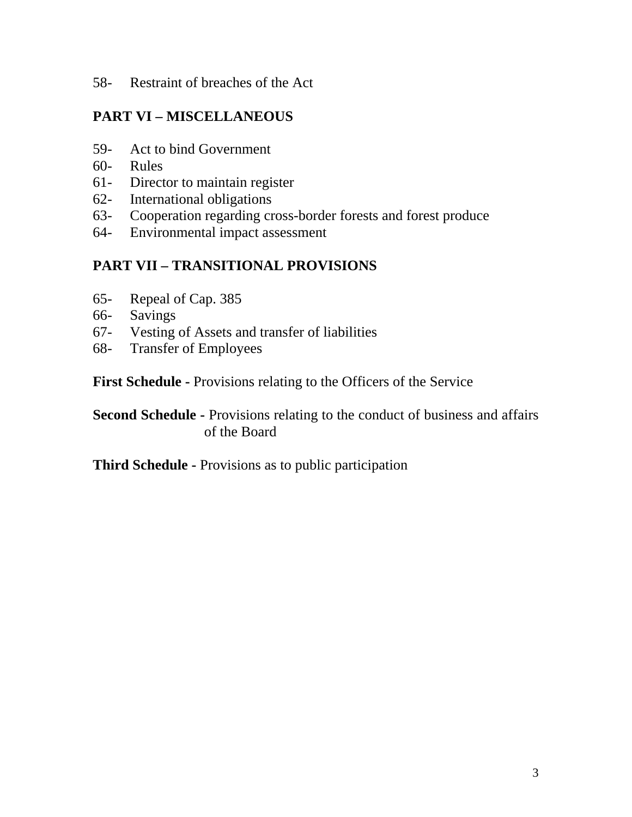58- Restraint of breaches of the Act

# **PART VI – MISCELLANEOUS**

- 59- Act to bind Government
- 60- Rules
- 61- Director to maintain register
- 62- International obligations
- 63- Cooperation regarding cross-border forests and forest produce
- 64- Environmental impact assessment

# **PART VII – TRANSITIONAL PROVISIONS**

- 65- Repeal of Cap. 385
- 66- Savings
- 67- Vesting of Assets and transfer of liabilities
- 68- Transfer of Employees

**First Schedule - Provisions relating to the Officers of the Service** 

**Second Schedule -** Provisions relating to the conduct of business and affairs of the Board

**Third Schedule -** Provisions as to public participation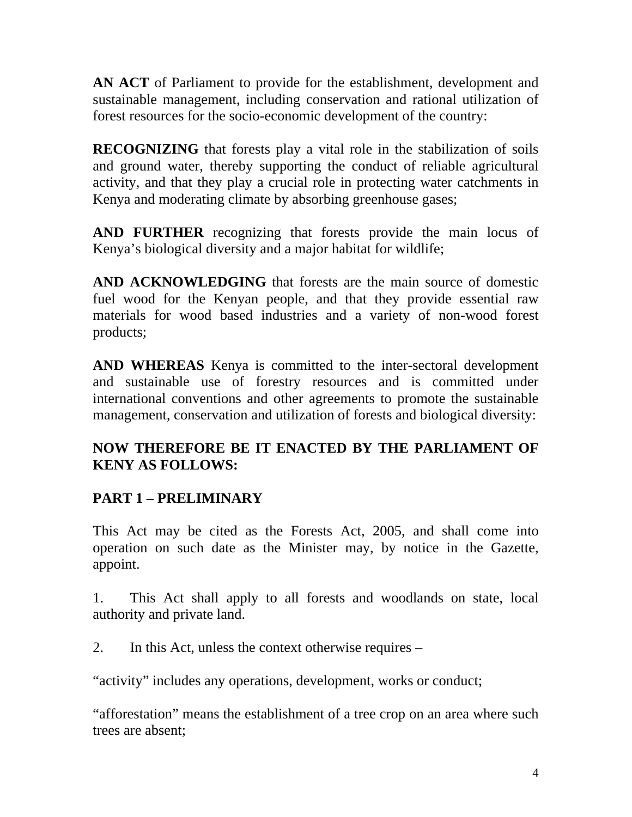**AN ACT** of Parliament to provide for the establishment, development and sustainable management, including conservation and rational utilization of forest resources for the socio-economic development of the country:

**RECOGNIZING** that forests play a vital role in the stabilization of soils and ground water, thereby supporting the conduct of reliable agricultural activity, and that they play a crucial role in protecting water catchments in Kenya and moderating climate by absorbing greenhouse gases;

**AND FURTHER** recognizing that forests provide the main locus of Kenya's biological diversity and a major habitat for wildlife;

**AND ACKNOWLEDGING** that forests are the main source of domestic fuel wood for the Kenyan people, and that they provide essential raw materials for wood based industries and a variety of non-wood forest products;

**AND WHEREAS** Kenya is committed to the inter-sectoral development and sustainable use of forestry resources and is committed under international conventions and other agreements to promote the sustainable management, conservation and utilization of forests and biological diversity:

## **NOW THEREFORE BE IT ENACTED BY THE PARLIAMENT OF KENY AS FOLLOWS:**

# **PART 1 – PRELIMINARY**

This Act may be cited as the Forests Act, 2005, and shall come into operation on such date as the Minister may, by notice in the Gazette, appoint.

1. This Act shall apply to all forests and woodlands on state, local authority and private land.

2. In this Act, unless the context otherwise requires –

"activity" includes any operations, development, works or conduct;

"afforestation" means the establishment of a tree crop on an area where such trees are absent;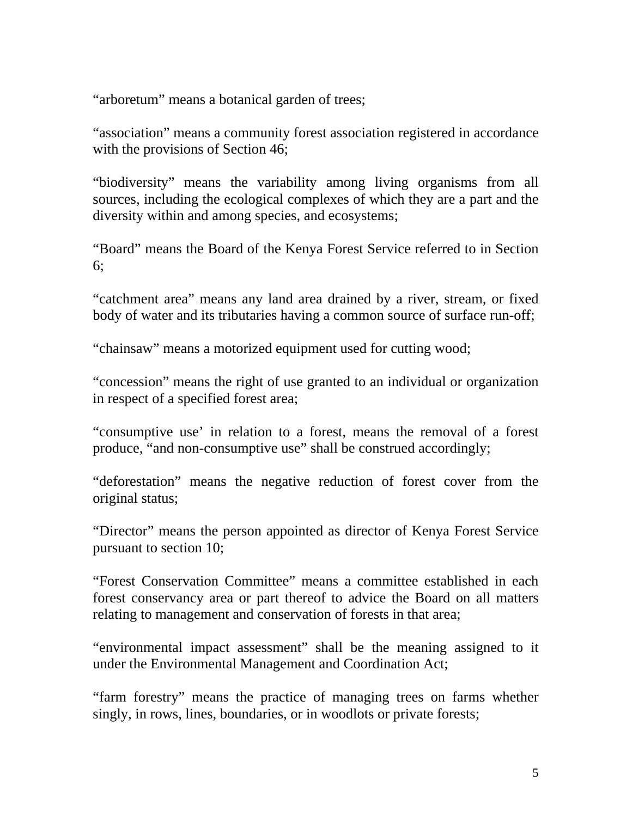"arboretum" means a botanical garden of trees;

"association" means a community forest association registered in accordance with the provisions of Section 46;

"biodiversity" means the variability among living organisms from all sources, including the ecological complexes of which they are a part and the diversity within and among species, and ecosystems;

"Board" means the Board of the Kenya Forest Service referred to in Section 6;

"catchment area" means any land area drained by a river, stream, or fixed body of water and its tributaries having a common source of surface run-off;

"chainsaw" means a motorized equipment used for cutting wood;

"concession" means the right of use granted to an individual or organization in respect of a specified forest area;

"consumptive use' in relation to a forest, means the removal of a forest produce, "and non-consumptive use" shall be construed accordingly;

"deforestation" means the negative reduction of forest cover from the original status;

"Director" means the person appointed as director of Kenya Forest Service pursuant to section 10;

"Forest Conservation Committee" means a committee established in each forest conservancy area or part thereof to advice the Board on all matters relating to management and conservation of forests in that area;

"environmental impact assessment" shall be the meaning assigned to it under the Environmental Management and Coordination Act;

"farm forestry" means the practice of managing trees on farms whether singly, in rows, lines, boundaries, or in woodlots or private forests;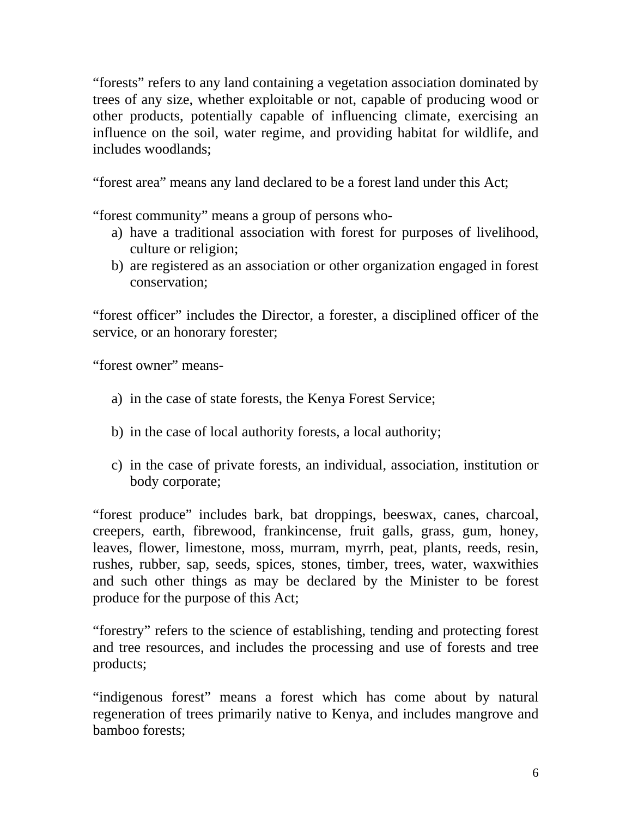"forests" refers to any land containing a vegetation association dominated by trees of any size, whether exploitable or not, capable of producing wood or other products, potentially capable of influencing climate, exercising an influence on the soil, water regime, and providing habitat for wildlife, and includes woodlands;

"forest area" means any land declared to be a forest land under this Act;

"forest community" means a group of persons who-

- a) have a traditional association with forest for purposes of livelihood, culture or religion;
- b) are registered as an association or other organization engaged in forest conservation;

"forest officer" includes the Director, a forester, a disciplined officer of the service, or an honorary forester;

"forest owner" means-

- a) in the case of state forests, the Kenya Forest Service;
- b) in the case of local authority forests, a local authority;
- c) in the case of private forests, an individual, association, institution or body corporate;

"forest produce" includes bark, bat droppings, beeswax, canes, charcoal, creepers, earth, fibrewood, frankincense, fruit galls, grass, gum, honey, leaves, flower, limestone, moss, murram, myrrh, peat, plants, reeds, resin, rushes, rubber, sap, seeds, spices, stones, timber, trees, water, waxwithies and such other things as may be declared by the Minister to be forest produce for the purpose of this Act;

"forestry" refers to the science of establishing, tending and protecting forest and tree resources, and includes the processing and use of forests and tree products;

"indigenous forest" means a forest which has come about by natural regeneration of trees primarily native to Kenya, and includes mangrove and bamboo forests;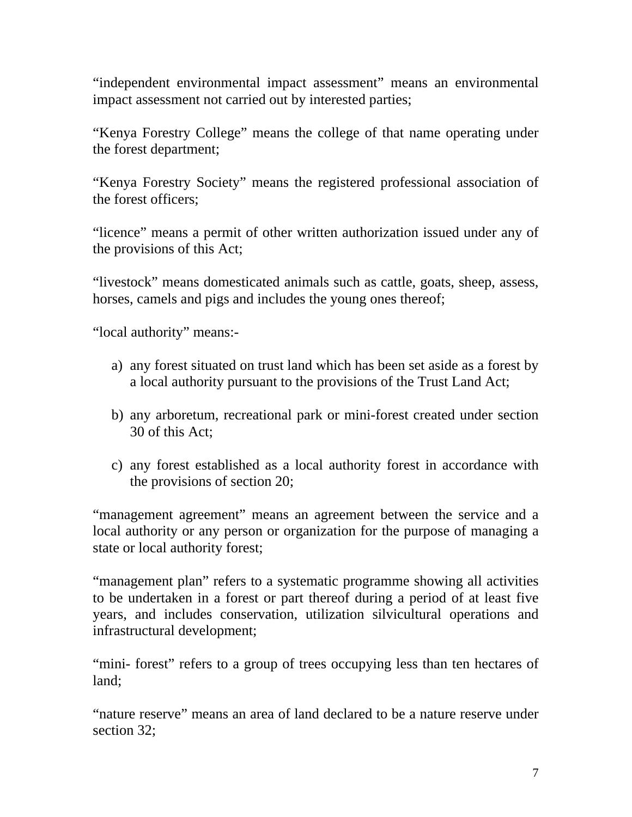"independent environmental impact assessment" means an environmental impact assessment not carried out by interested parties;

"Kenya Forestry College" means the college of that name operating under the forest department;

"Kenya Forestry Society" means the registered professional association of the forest officers;

"licence" means a permit of other written authorization issued under any of the provisions of this Act;

"livestock" means domesticated animals such as cattle, goats, sheep, assess, horses, camels and pigs and includes the young ones thereof;

"local authority" means:-

- a) any forest situated on trust land which has been set aside as a forest by a local authority pursuant to the provisions of the Trust Land Act;
- b) any arboretum, recreational park or mini-forest created under section 30 of this Act;
- c) any forest established as a local authority forest in accordance with the provisions of section 20;

"management agreement" means an agreement between the service and a local authority or any person or organization for the purpose of managing a state or local authority forest;

"management plan" refers to a systematic programme showing all activities to be undertaken in a forest or part thereof during a period of at least five years, and includes conservation, utilization silvicultural operations and infrastructural development;

"mini- forest" refers to a group of trees occupying less than ten hectares of land;

"nature reserve" means an area of land declared to be a nature reserve under section 32;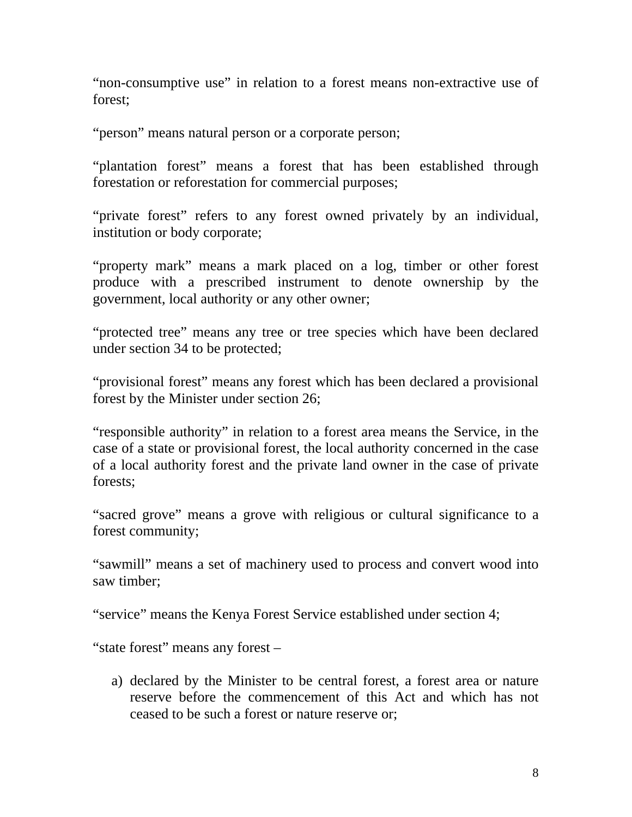"non-consumptive use" in relation to a forest means non-extractive use of forest;

"person" means natural person or a corporate person;

"plantation forest" means a forest that has been established through forestation or reforestation for commercial purposes;

"private forest" refers to any forest owned privately by an individual, institution or body corporate;

"property mark" means a mark placed on a log, timber or other forest produce with a prescribed instrument to denote ownership by the government, local authority or any other owner;

"protected tree" means any tree or tree species which have been declared under section 34 to be protected;

"provisional forest" means any forest which has been declared a provisional forest by the Minister under section 26;

"responsible authority" in relation to a forest area means the Service, in the case of a state or provisional forest, the local authority concerned in the case of a local authority forest and the private land owner in the case of private forests;

"sacred grove" means a grove with religious or cultural significance to a forest community;

"sawmill" means a set of machinery used to process and convert wood into saw timber;

"service" means the Kenya Forest Service established under section 4;

"state forest" means any forest –

a) declared by the Minister to be central forest, a forest area or nature reserve before the commencement of this Act and which has not ceased to be such a forest or nature reserve or;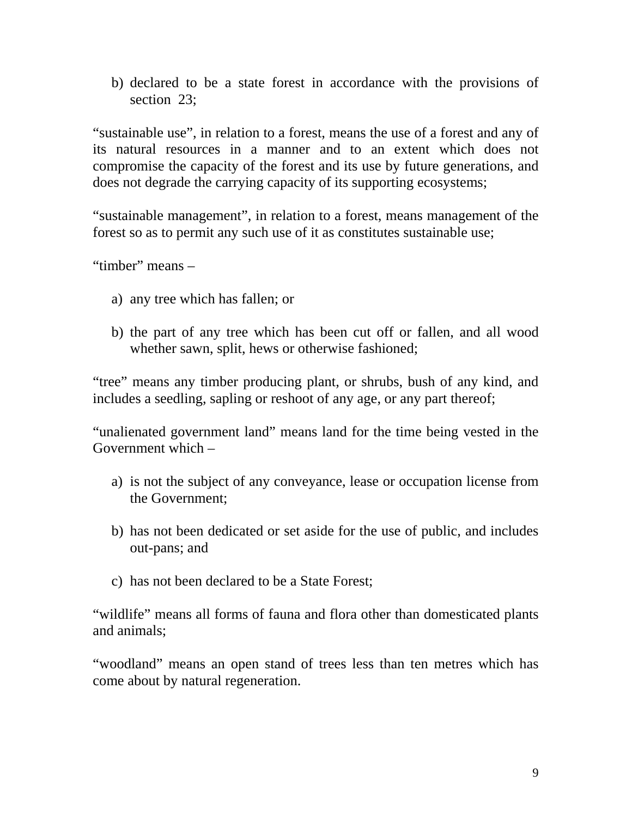b) declared to be a state forest in accordance with the provisions of section 23;

"sustainable use", in relation to a forest, means the use of a forest and any of its natural resources in a manner and to an extent which does not compromise the capacity of the forest and its use by future generations, and does not degrade the carrying capacity of its supporting ecosystems;

"sustainable management", in relation to a forest, means management of the forest so as to permit any such use of it as constitutes sustainable use;

"timber" means –

- a) any tree which has fallen; or
- b) the part of any tree which has been cut off or fallen, and all wood whether sawn, split, hews or otherwise fashioned;

"tree" means any timber producing plant, or shrubs, bush of any kind, and includes a seedling, sapling or reshoot of any age, or any part thereof;

"unalienated government land" means land for the time being vested in the Government which –

- a) is not the subject of any conveyance, lease or occupation license from the Government;
- b) has not been dedicated or set aside for the use of public, and includes out-pans; and
- c) has not been declared to be a State Forest;

"wildlife" means all forms of fauna and flora other than domesticated plants and animals;

"woodland" means an open stand of trees less than ten metres which has come about by natural regeneration.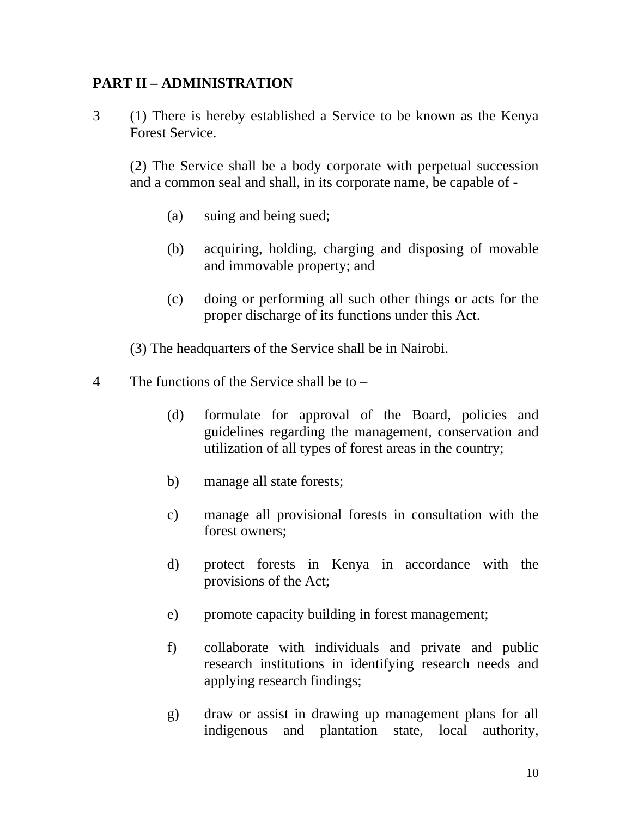## **PART II – ADMINISTRATION**

3 (1) There is hereby established a Service to be known as the Kenya Forest Service.

 (2) The Service shall be a body corporate with perpetual succession and a common seal and shall, in its corporate name, be capable of -

- (a) suing and being sued;
- (b) acquiring, holding, charging and disposing of movable and immovable property; and
- (c) doing or performing all such other things or acts for the proper discharge of its functions under this Act.

(3) The headquarters of the Service shall be in Nairobi.

- 4 The functions of the Service shall be to
	- (d) formulate for approval of the Board, policies and guidelines regarding the management, conservation and utilization of all types of forest areas in the country;
	- b) manage all state forests;
	- c) manage all provisional forests in consultation with the forest owners;
	- d) protect forests in Kenya in accordance with the provisions of the Act;
	- e) promote capacity building in forest management;
	- f) collaborate with individuals and private and public research institutions in identifying research needs and applying research findings;
	- g) draw or assist in drawing up management plans for all indigenous and plantation state, local authority,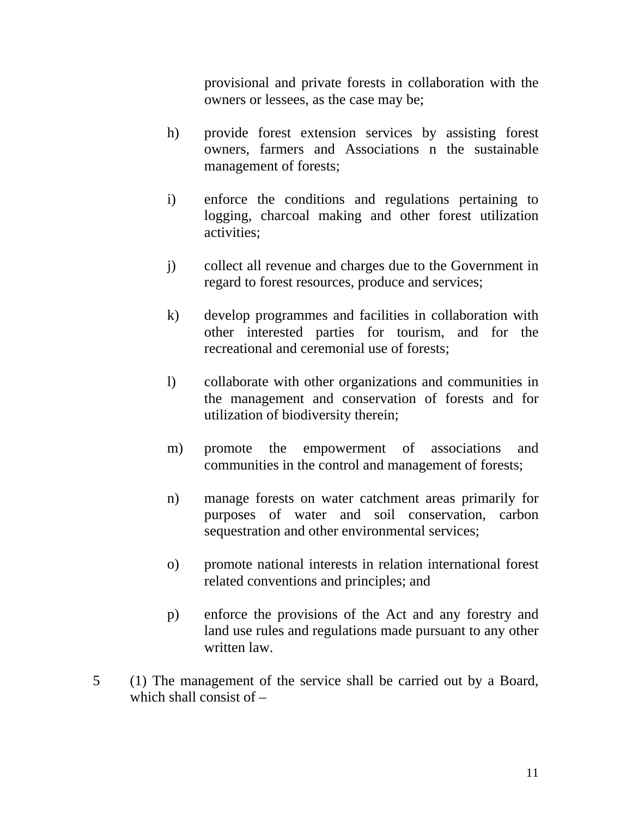provisional and private forests in collaboration with the owners or lessees, as the case may be;

- h) provide forest extension services by assisting forest owners, farmers and Associations n the sustainable management of forests;
- i) enforce the conditions and regulations pertaining to logging, charcoal making and other forest utilization activities;
- j) collect all revenue and charges due to the Government in regard to forest resources, produce and services;
- k) develop programmes and facilities in collaboration with other interested parties for tourism, and for the recreational and ceremonial use of forests;
- l) collaborate with other organizations and communities in the management and conservation of forests and for utilization of biodiversity therein;
- m) promote the empowerment of associations and communities in the control and management of forests;
- n) manage forests on water catchment areas primarily for purposes of water and soil conservation, carbon sequestration and other environmental services;
- o) promote national interests in relation international forest related conventions and principles; and
- p) enforce the provisions of the Act and any forestry and land use rules and regulations made pursuant to any other written law.
- 5 (1) The management of the service shall be carried out by a Board, which shall consist of –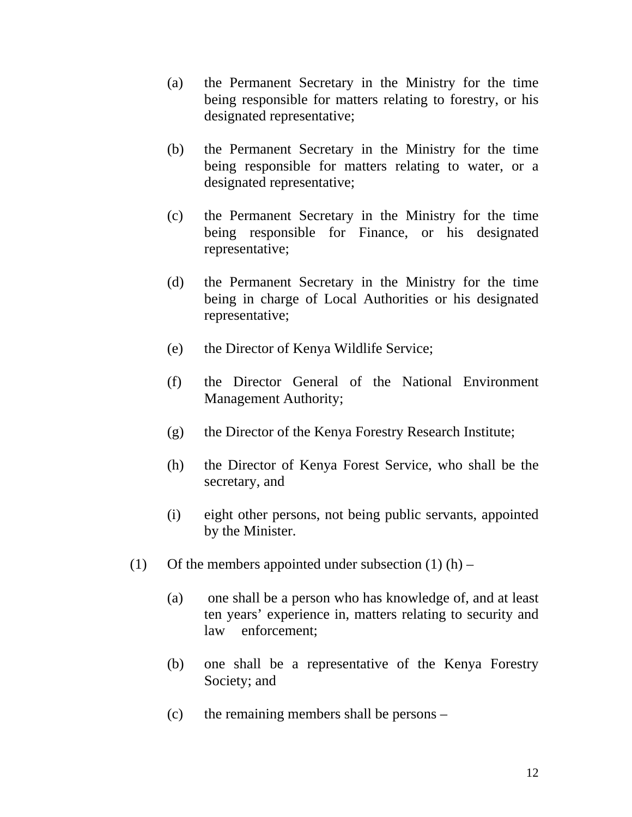- (a) the Permanent Secretary in the Ministry for the time being responsible for matters relating to forestry, or his designated representative;
- (b) the Permanent Secretary in the Ministry for the time being responsible for matters relating to water, or a designated representative;
- (c) the Permanent Secretary in the Ministry for the time being responsible for Finance, or his designated representative;
- (d) the Permanent Secretary in the Ministry for the time being in charge of Local Authorities or his designated representative;
- (e) the Director of Kenya Wildlife Service;
- (f) the Director General of the National Environment Management Authority;
- (g) the Director of the Kenya Forestry Research Institute;
- (h) the Director of Kenya Forest Service, who shall be the secretary, and
- (i) eight other persons, not being public servants, appointed by the Minister.
- (1) Of the members appointed under subsection  $(1)$  (h)
	- (a) one shall be a person who has knowledge of, and at least ten years' experience in, matters relating to security and law enforcement;
	- (b) one shall be a representative of the Kenya Forestry Society; and
	- (c) the remaining members shall be persons –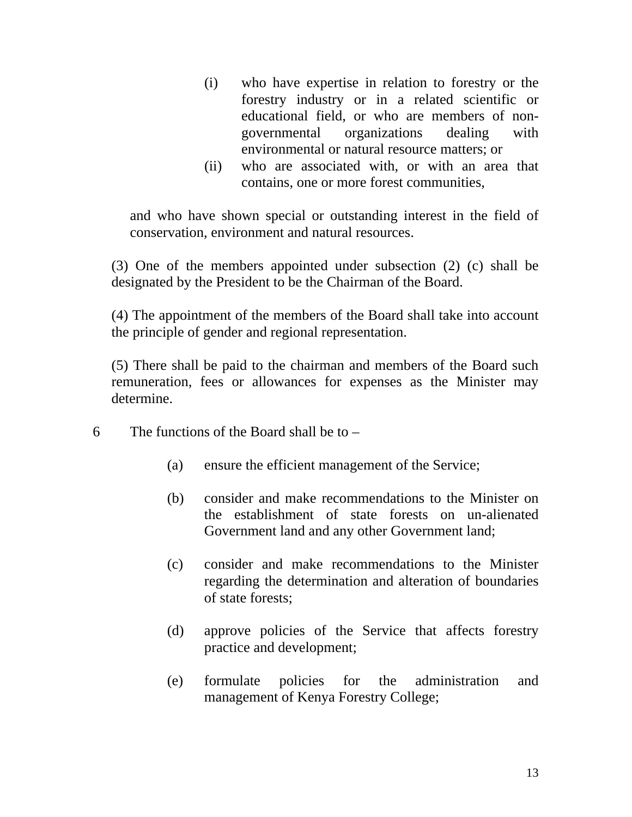- (i) who have expertise in relation to forestry or the forestry industry or in a related scientific or educational field, or who are members of nongovernmental organizations dealing with environmental or natural resource matters; or
- (ii) who are associated with, or with an area that contains, one or more forest communities,

and who have shown special or outstanding interest in the field of conservation, environment and natural resources.

(3) One of the members appointed under subsection (2) (c) shall be designated by the President to be the Chairman of the Board.

(4) The appointment of the members of the Board shall take into account the principle of gender and regional representation.

(5) There shall be paid to the chairman and members of the Board such remuneration, fees or allowances for expenses as the Minister may determine.

- 6 The functions of the Board shall be to  $-$ 
	- (a) ensure the efficient management of the Service;
	- (b) consider and make recommendations to the Minister on the establishment of state forests on un-alienated Government land and any other Government land;
	- (c) consider and make recommendations to the Minister regarding the determination and alteration of boundaries of state forests;
	- (d) approve policies of the Service that affects forestry practice and development;
	- (e) formulate policies for the administration and management of Kenya Forestry College;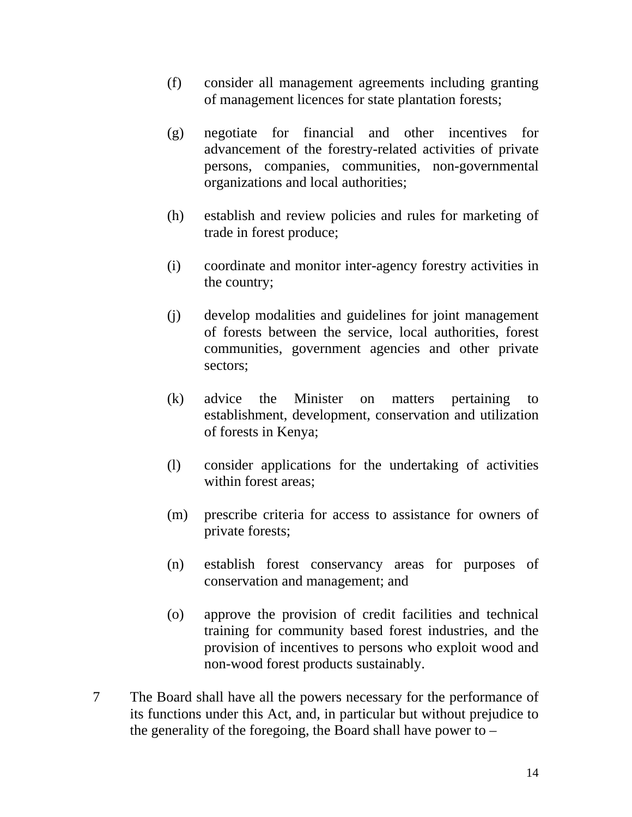- (f) consider all management agreements including granting of management licences for state plantation forests;
- (g) negotiate for financial and other incentives for advancement of the forestry-related activities of private persons, companies, communities, non-governmental organizations and local authorities;
- (h) establish and review policies and rules for marketing of trade in forest produce;
- (i) coordinate and monitor inter-agency forestry activities in the country;
- (j) develop modalities and guidelines for joint management of forests between the service, local authorities, forest communities, government agencies and other private sectors;
- (k) advice the Minister on matters pertaining to establishment, development, conservation and utilization of forests in Kenya;
- (l) consider applications for the undertaking of activities within forest areas;
- (m) prescribe criteria for access to assistance for owners of private forests;
- (n) establish forest conservancy areas for purposes of conservation and management; and
- (o) approve the provision of credit facilities and technical training for community based forest industries, and the provision of incentives to persons who exploit wood and non-wood forest products sustainably.
- 7 The Board shall have all the powers necessary for the performance of its functions under this Act, and, in particular but without prejudice to the generality of the foregoing, the Board shall have power to –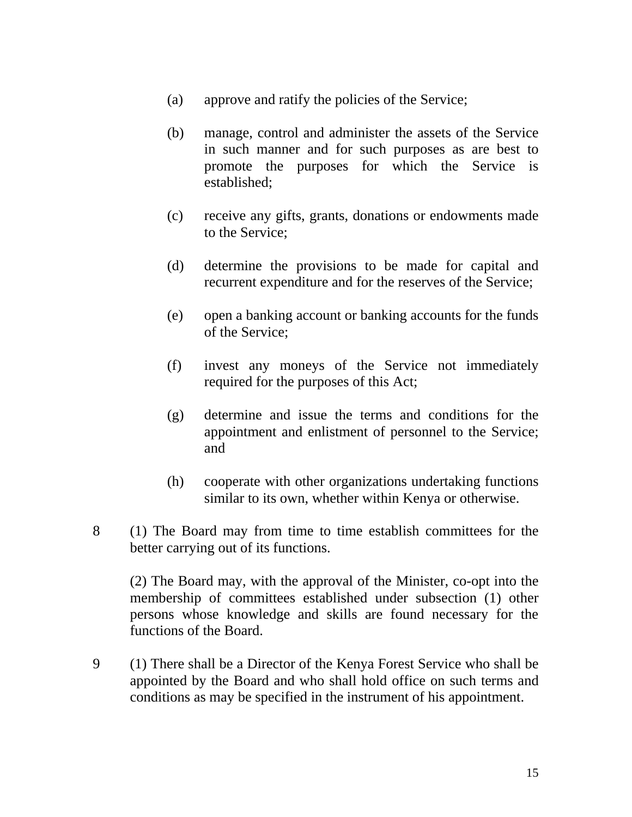- (a) approve and ratify the policies of the Service;
- (b) manage, control and administer the assets of the Service in such manner and for such purposes as are best to promote the purposes for which the Service is established;
- (c) receive any gifts, grants, donations or endowments made to the Service;
- (d) determine the provisions to be made for capital and recurrent expenditure and for the reserves of the Service;
- (e) open a banking account or banking accounts for the funds of the Service;
- (f) invest any moneys of the Service not immediately required for the purposes of this Act;
- (g) determine and issue the terms and conditions for the appointment and enlistment of personnel to the Service; and
- (h) cooperate with other organizations undertaking functions similar to its own, whether within Kenya or otherwise.
- 8 (1) The Board may from time to time establish committees for the better carrying out of its functions.

(2) The Board may, with the approval of the Minister, co-opt into the membership of committees established under subsection (1) other persons whose knowledge and skills are found necessary for the functions of the Board.

9 (1) There shall be a Director of the Kenya Forest Service who shall be appointed by the Board and who shall hold office on such terms and conditions as may be specified in the instrument of his appointment.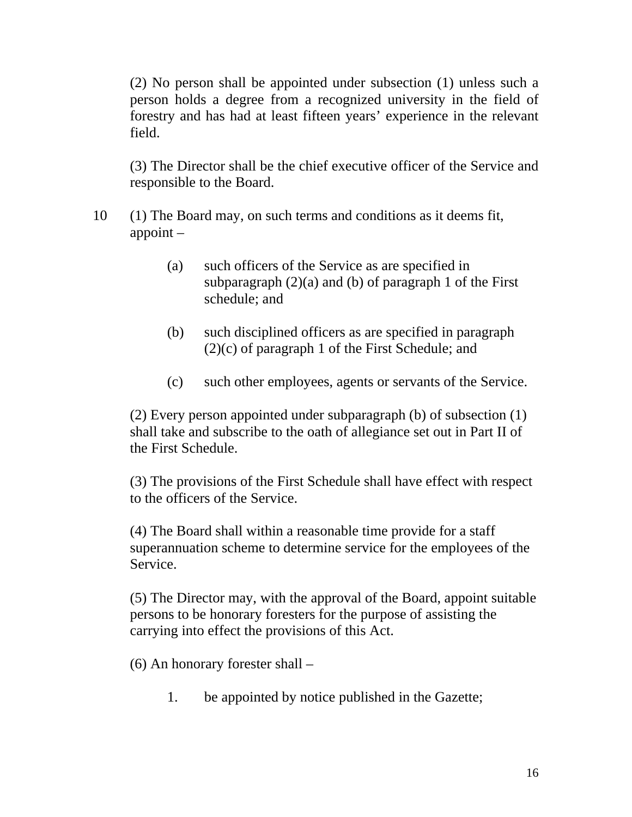(2) No person shall be appointed under subsection (1) unless such a person holds a degree from a recognized university in the field of forestry and has had at least fifteen years' experience in the relevant field.

(3) The Director shall be the chief executive officer of the Service and responsible to the Board.

- 10 (1) The Board may, on such terms and conditions as it deems fit, appoint –
	- (a) such officers of the Service as are specified in subparagraph  $(2)(a)$  and  $(b)$  of paragraph 1 of the First schedule; and
	- (b) such disciplined officers as are specified in paragraph (2)(c) of paragraph 1 of the First Schedule; and
	- (c) such other employees, agents or servants of the Service.

(2) Every person appointed under subparagraph (b) of subsection (1) shall take and subscribe to the oath of allegiance set out in Part II of the First Schedule.

(3) The provisions of the First Schedule shall have effect with respect to the officers of the Service.

(4) The Board shall within a reasonable time provide for a staff superannuation scheme to determine service for the employees of the Service.

(5) The Director may, with the approval of the Board, appoint suitable persons to be honorary foresters for the purpose of assisting the carrying into effect the provisions of this Act.

(6) An honorary forester shall –

1. be appointed by notice published in the Gazette;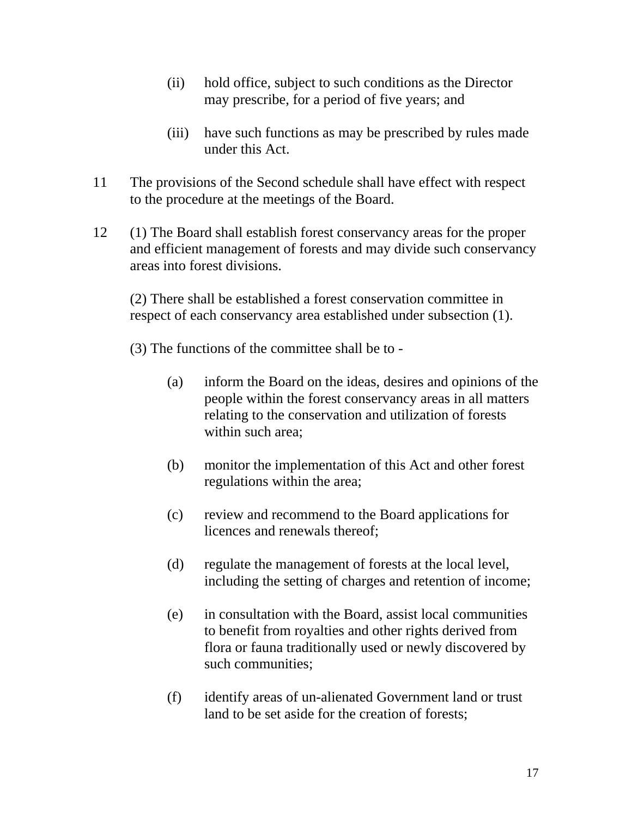- (ii) hold office, subject to such conditions as the Director may prescribe, for a period of five years; and
- (iii) have such functions as may be prescribed by rules made under this Act.
- 11 The provisions of the Second schedule shall have effect with respect to the procedure at the meetings of the Board.
- 12 (1) The Board shall establish forest conservancy areas for the proper and efficient management of forests and may divide such conservancy areas into forest divisions.

(2) There shall be established a forest conservation committee in respect of each conservancy area established under subsection (1).

- (3) The functions of the committee shall be to
	- (a) inform the Board on the ideas, desires and opinions of the people within the forest conservancy areas in all matters relating to the conservation and utilization of forests within such area:
	- (b) monitor the implementation of this Act and other forest regulations within the area;
	- (c) review and recommend to the Board applications for licences and renewals thereof;
	- (d) regulate the management of forests at the local level, including the setting of charges and retention of income;
	- (e) in consultation with the Board, assist local communities to benefit from royalties and other rights derived from flora or fauna traditionally used or newly discovered by such communities;
	- (f) identify areas of un-alienated Government land or trust land to be set aside for the creation of forests;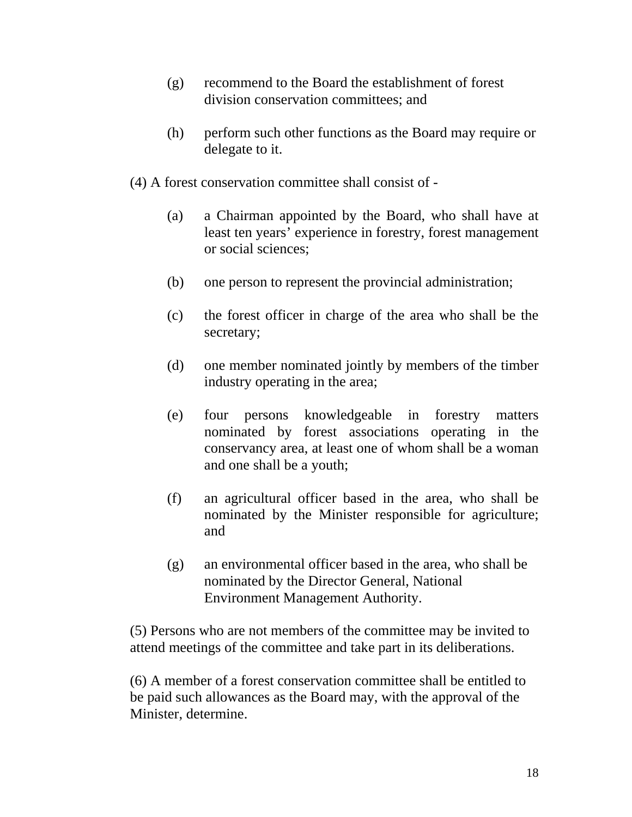- (g) recommend to the Board the establishment of forest division conservation committees; and
- (h) perform such other functions as the Board may require or delegate to it.
- (4) A forest conservation committee shall consist of
	- (a) a Chairman appointed by the Board, who shall have at least ten years' experience in forestry, forest management or social sciences;
	- (b) one person to represent the provincial administration;
	- (c) the forest officer in charge of the area who shall be the secretary;
	- (d) one member nominated jointly by members of the timber industry operating in the area;
	- (e) four persons knowledgeable in forestry matters nominated by forest associations operating in the conservancy area, at least one of whom shall be a woman and one shall be a youth;
	- (f) an agricultural officer based in the area, who shall be nominated by the Minister responsible for agriculture; and
	- (g) an environmental officer based in the area, who shall be nominated by the Director General, National Environment Management Authority.

(5) Persons who are not members of the committee may be invited to attend meetings of the committee and take part in its deliberations.

(6) A member of a forest conservation committee shall be entitled to be paid such allowances as the Board may, with the approval of the Minister, determine.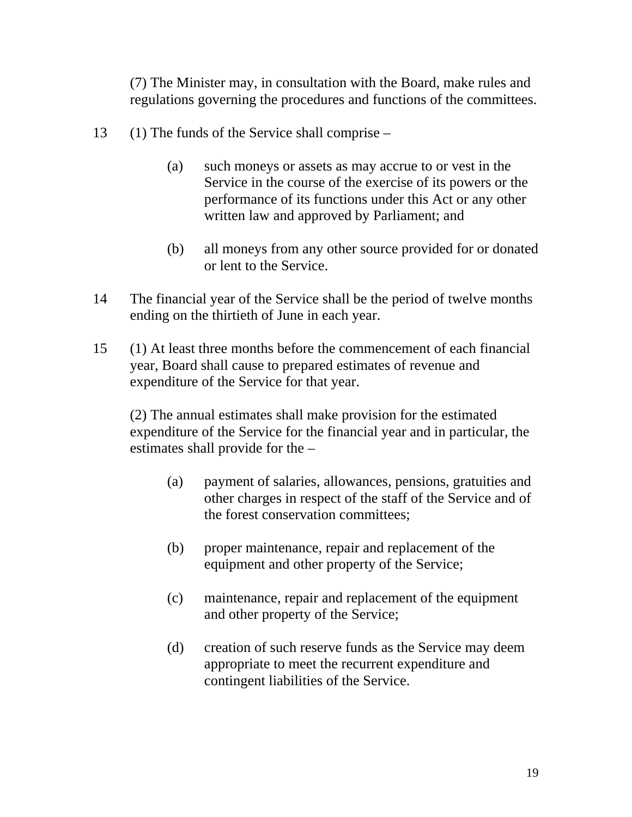(7) The Minister may, in consultation with the Board, make rules and regulations governing the procedures and functions of the committees.

- 13 (1) The funds of the Service shall comprise
	- (a) such moneys or assets as may accrue to or vest in the Service in the course of the exercise of its powers or the performance of its functions under this Act or any other written law and approved by Parliament; and
	- (b) all moneys from any other source provided for or donated or lent to the Service.
- 14 The financial year of the Service shall be the period of twelve months ending on the thirtieth of June in each year.
- 15 (1) At least three months before the commencement of each financial year, Board shall cause to prepared estimates of revenue and expenditure of the Service for that year.

(2) The annual estimates shall make provision for the estimated expenditure of the Service for the financial year and in particular, the estimates shall provide for the –

- (a) payment of salaries, allowances, pensions, gratuities and other charges in respect of the staff of the Service and of the forest conservation committees;
- (b) proper maintenance, repair and replacement of the equipment and other property of the Service;
- (c) maintenance, repair and replacement of the equipment and other property of the Service;
- (d) creation of such reserve funds as the Service may deem appropriate to meet the recurrent expenditure and contingent liabilities of the Service.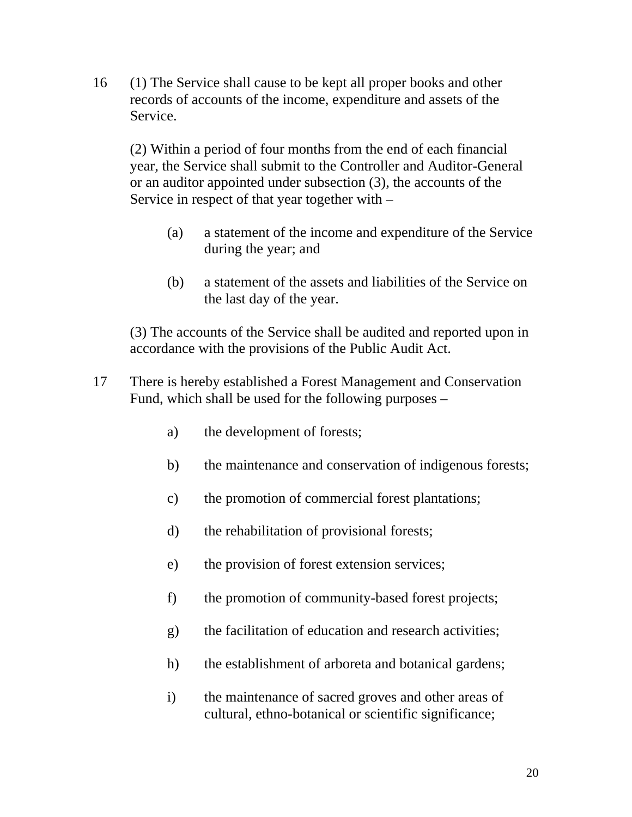16 (1) The Service shall cause to be kept all proper books and other records of accounts of the income, expenditure and assets of the Service.

(2) Within a period of four months from the end of each financial year, the Service shall submit to the Controller and Auditor-General or an auditor appointed under subsection (3), the accounts of the Service in respect of that year together with –

- (a) a statement of the income and expenditure of the Service during the year; and
- (b) a statement of the assets and liabilities of the Service on the last day of the year.

(3) The accounts of the Service shall be audited and reported upon in accordance with the provisions of the Public Audit Act.

- 17 There is hereby established a Forest Management and Conservation Fund, which shall be used for the following purposes –
	- a) the development of forests;
	- b) the maintenance and conservation of indigenous forests;
	- c) the promotion of commercial forest plantations;
	- d) the rehabilitation of provisional forests;
	- e) the provision of forest extension services;
	- f) the promotion of community-based forest projects;
	- g) the facilitation of education and research activities;
	- h) the establishment of arboreta and botanical gardens;
	- i) the maintenance of sacred groves and other areas of cultural, ethno-botanical or scientific significance;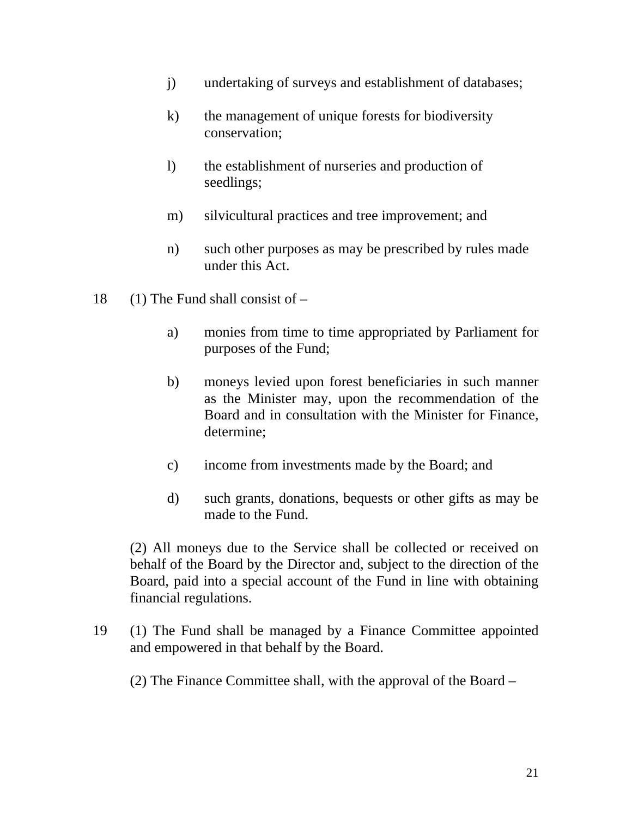- j) undertaking of surveys and establishment of databases;
- k) the management of unique forests for biodiversity conservation;
- l) the establishment of nurseries and production of seedlings;
- m) silvicultural practices and tree improvement; and
- n) such other purposes as may be prescribed by rules made under this Act.
- 18 (1) The Fund shall consist of  $$ 
	- a) monies from time to time appropriated by Parliament for purposes of the Fund;
	- b) moneys levied upon forest beneficiaries in such manner as the Minister may, upon the recommendation of the Board and in consultation with the Minister for Finance, determine;
	- c) income from investments made by the Board; and
	- d) such grants, donations, bequests or other gifts as may be made to the Fund.

(2) All moneys due to the Service shall be collected or received on behalf of the Board by the Director and, subject to the direction of the Board, paid into a special account of the Fund in line with obtaining financial regulations.

19 (1) The Fund shall be managed by a Finance Committee appointed and empowered in that behalf by the Board.

(2) The Finance Committee shall, with the approval of the Board –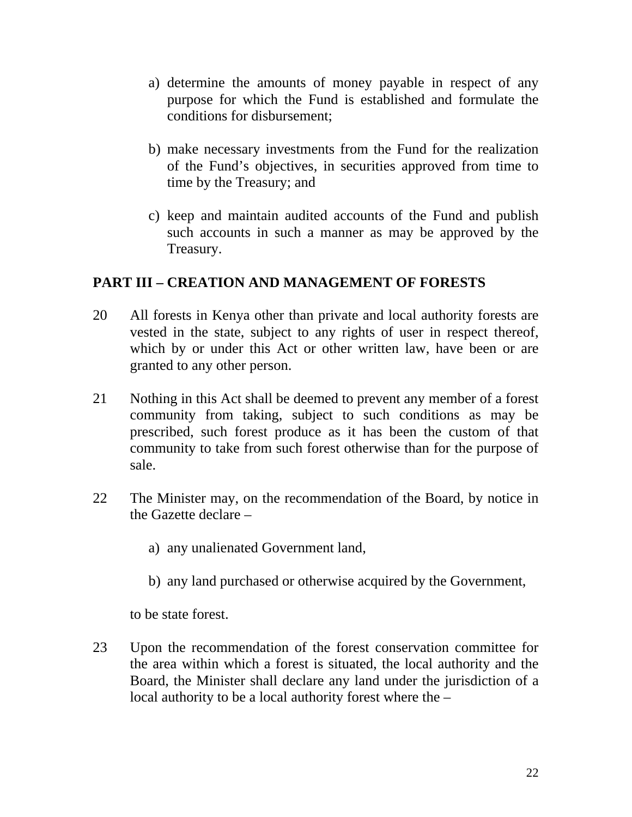- a) determine the amounts of money payable in respect of any purpose for which the Fund is established and formulate the conditions for disbursement;
- b) make necessary investments from the Fund for the realization of the Fund's objectives, in securities approved from time to time by the Treasury; and
- c) keep and maintain audited accounts of the Fund and publish such accounts in such a manner as may be approved by the Treasury.

## **PART III – CREATION AND MANAGEMENT OF FORESTS**

- 20 All forests in Kenya other than private and local authority forests are vested in the state, subject to any rights of user in respect thereof, which by or under this Act or other written law, have been or are granted to any other person.
- 21 Nothing in this Act shall be deemed to prevent any member of a forest community from taking, subject to such conditions as may be prescribed, such forest produce as it has been the custom of that community to take from such forest otherwise than for the purpose of sale.
- 22 The Minister may, on the recommendation of the Board, by notice in the Gazette declare –
	- a) any unalienated Government land,
	- b) any land purchased or otherwise acquired by the Government,

to be state forest.

23 Upon the recommendation of the forest conservation committee for the area within which a forest is situated, the local authority and the Board, the Minister shall declare any land under the jurisdiction of a local authority to be a local authority forest where the –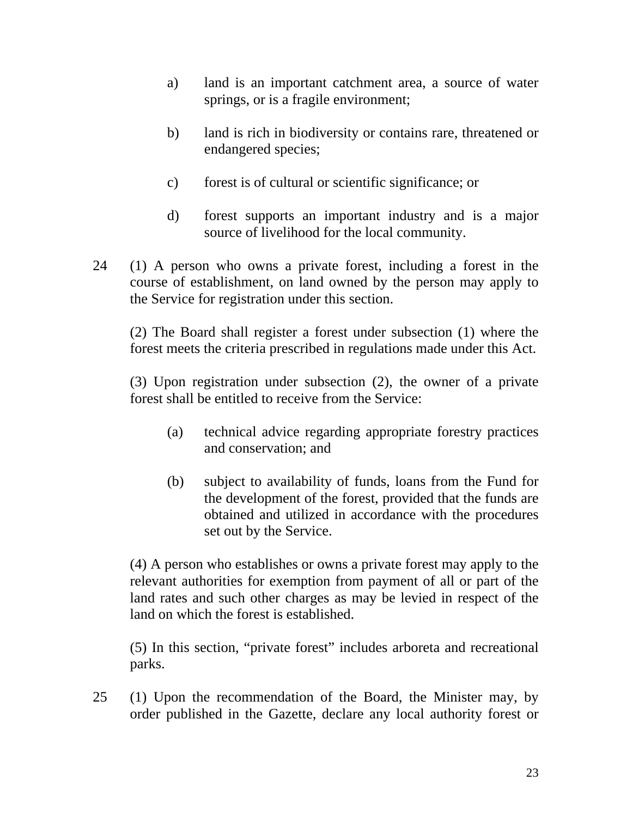- a) land is an important catchment area, a source of water springs, or is a fragile environment;
- b) land is rich in biodiversity or contains rare, threatened or endangered species;
- c) forest is of cultural or scientific significance; or
- d) forest supports an important industry and is a major source of livelihood for the local community.
- 24 (1) A person who owns a private forest, including a forest in the course of establishment, on land owned by the person may apply to the Service for registration under this section.

 (2) The Board shall register a forest under subsection (1) where the forest meets the criteria prescribed in regulations made under this Act.

 (3) Upon registration under subsection (2), the owner of a private forest shall be entitled to receive from the Service:

- (a) technical advice regarding appropriate forestry practices and conservation; and
- (b) subject to availability of funds, loans from the Fund for the development of the forest, provided that the funds are obtained and utilized in accordance with the procedures set out by the Service.

(4) A person who establishes or owns a private forest may apply to the relevant authorities for exemption from payment of all or part of the land rates and such other charges as may be levied in respect of the land on which the forest is established.

(5) In this section, "private forest" includes arboreta and recreational parks.

25 (1) Upon the recommendation of the Board, the Minister may, by order published in the Gazette, declare any local authority forest or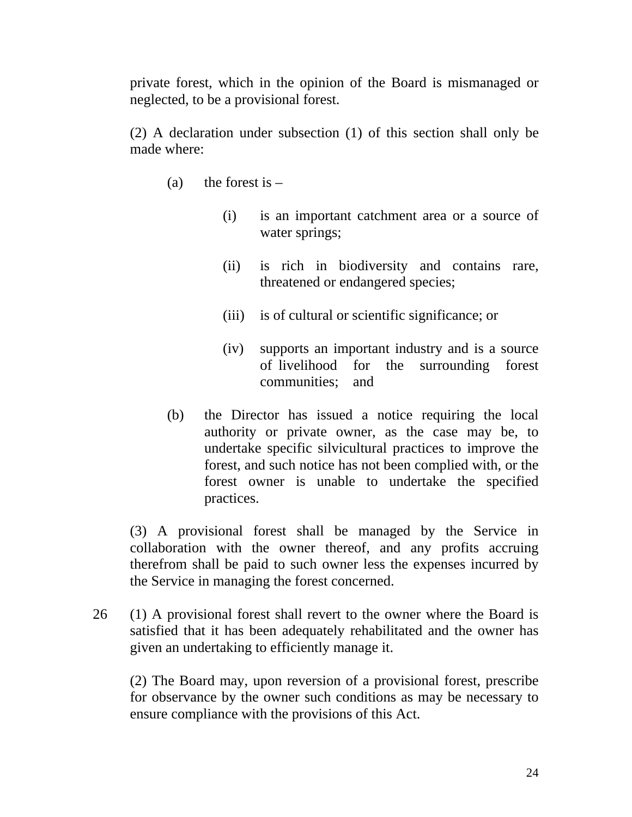private forest, which in the opinion of the Board is mismanaged or neglected, to be a provisional forest.

 (2) A declaration under subsection (1) of this section shall only be made where:

- (a) the forest is  $-$ 
	- (i) is an important catchment area or a source of water springs;
	- (ii) is rich in biodiversity and contains rare, threatened or endangered species;
	- (iii) is of cultural or scientific significance; or
	- (iv) supports an important industry and is a source of livelihood for the surrounding forest communities; and
- (b) the Director has issued a notice requiring the local authority or private owner, as the case may be, to undertake specific silvicultural practices to improve the forest, and such notice has not been complied with, or the forest owner is unable to undertake the specified practices.

 (3) A provisional forest shall be managed by the Service in collaboration with the owner thereof, and any profits accruing therefrom shall be paid to such owner less the expenses incurred by the Service in managing the forest concerned.

26 (1) A provisional forest shall revert to the owner where the Board is satisfied that it has been adequately rehabilitated and the owner has given an undertaking to efficiently manage it.

 (2) The Board may, upon reversion of a provisional forest, prescribe for observance by the owner such conditions as may be necessary to ensure compliance with the provisions of this Act.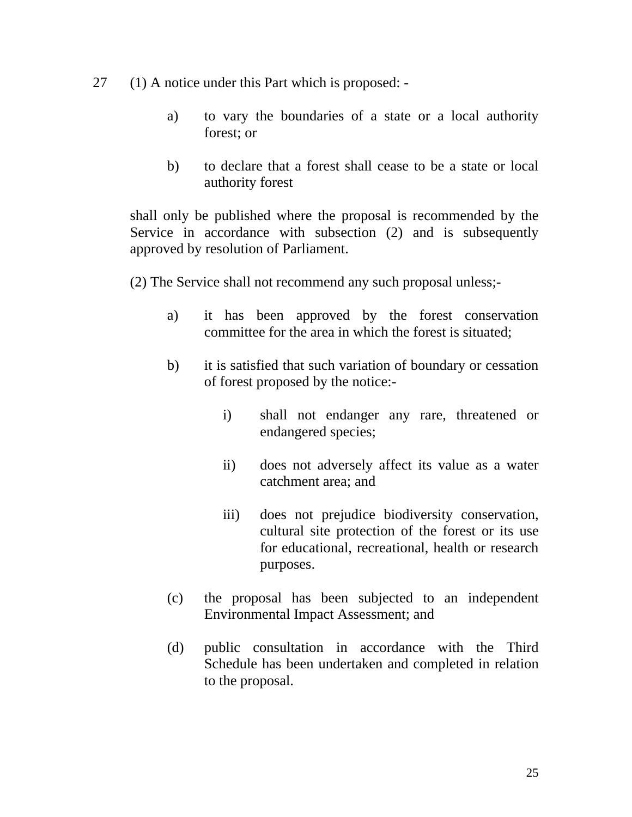- 27 (1) A notice under this Part which is proposed:
	- a) to vary the boundaries of a state or a local authority forest; or
	- b) to declare that a forest shall cease to be a state or local authority forest

 shall only be published where the proposal is recommended by the Service in accordance with subsection (2) and is subsequently approved by resolution of Parliament.

- (2) The Service shall not recommend any such proposal unless;
	- a) it has been approved by the forest conservation committee for the area in which the forest is situated;
	- b) it is satisfied that such variation of boundary or cessation of forest proposed by the notice:
		- i) shall not endanger any rare, threatened or endangered species;
		- ii) does not adversely affect its value as a water catchment area; and
		- iii) does not prejudice biodiversity conservation, cultural site protection of the forest or its use for educational, recreational, health or research purposes.
	- (c) the proposal has been subjected to an independent Environmental Impact Assessment; and
	- (d) public consultation in accordance with the Third Schedule has been undertaken and completed in relation to the proposal.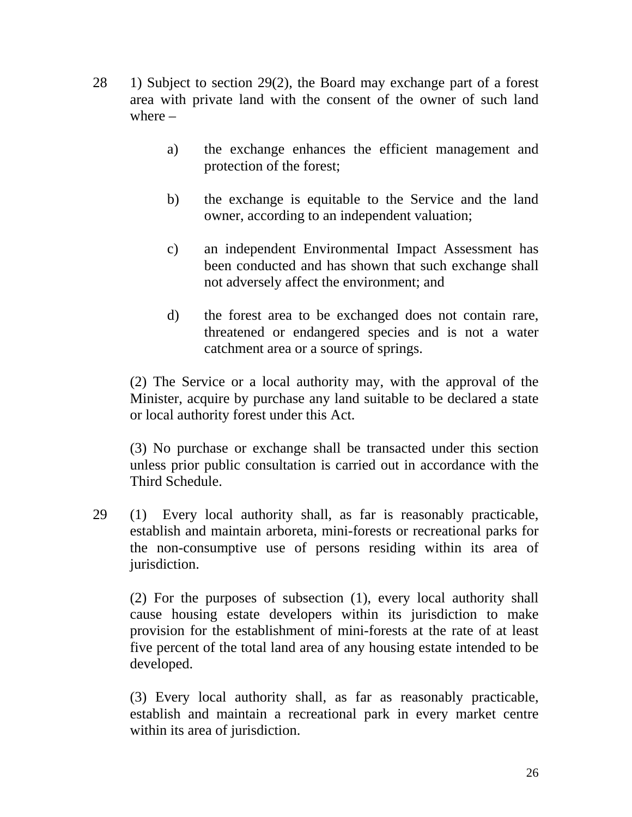- 28 1) Subject to section 29(2), the Board may exchange part of a forest area with private land with the consent of the owner of such land where –
	- a) the exchange enhances the efficient management and protection of the forest;
	- b) the exchange is equitable to the Service and the land owner, according to an independent valuation;
	- c) an independent Environmental Impact Assessment has been conducted and has shown that such exchange shall not adversely affect the environment; and
	- d) the forest area to be exchanged does not contain rare, threatened or endangered species and is not a water catchment area or a source of springs.

(2) The Service or a local authority may, with the approval of the Minister, acquire by purchase any land suitable to be declared a state or local authority forest under this Act.

(3) No purchase or exchange shall be transacted under this section unless prior public consultation is carried out in accordance with the Third Schedule.

29 (1) Every local authority shall, as far is reasonably practicable, establish and maintain arboreta, mini-forests or recreational parks for the non-consumptive use of persons residing within its area of jurisdiction.

 (2) For the purposes of subsection (1), every local authority shall cause housing estate developers within its jurisdiction to make provision for the establishment of mini-forests at the rate of at least five percent of the total land area of any housing estate intended to be developed.

 (3) Every local authority shall, as far as reasonably practicable, establish and maintain a recreational park in every market centre within its area of jurisdiction.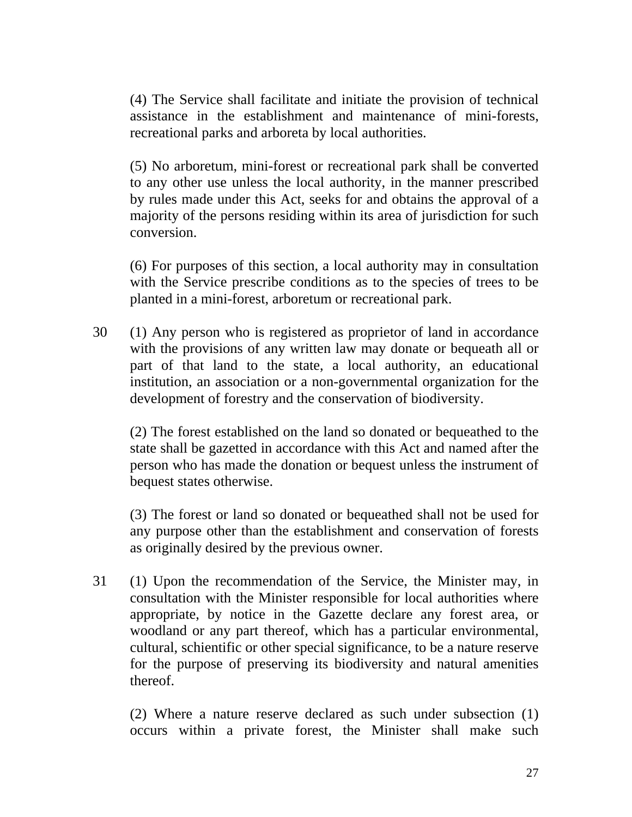(4) The Service shall facilitate and initiate the provision of technical assistance in the establishment and maintenance of mini-forests, recreational parks and arboreta by local authorities.

 (5) No arboretum, mini-forest or recreational park shall be converted to any other use unless the local authority, in the manner prescribed by rules made under this Act, seeks for and obtains the approval of a majority of the persons residing within its area of jurisdiction for such conversion.

 (6) For purposes of this section, a local authority may in consultation with the Service prescribe conditions as to the species of trees to be planted in a mini-forest, arboretum or recreational park.

30 (1) Any person who is registered as proprietor of land in accordance with the provisions of any written law may donate or bequeath all or part of that land to the state, a local authority, an educational institution, an association or a non-governmental organization for the development of forestry and the conservation of biodiversity.

 (2) The forest established on the land so donated or bequeathed to the state shall be gazetted in accordance with this Act and named after the person who has made the donation or bequest unless the instrument of bequest states otherwise.

 (3) The forest or land so donated or bequeathed shall not be used for any purpose other than the establishment and conservation of forests as originally desired by the previous owner.

31 (1) Upon the recommendation of the Service, the Minister may, in consultation with the Minister responsible for local authorities where appropriate, by notice in the Gazette declare any forest area, or woodland or any part thereof, which has a particular environmental, cultural, schientific or other special significance, to be a nature reserve for the purpose of preserving its biodiversity and natural amenities thereof.

 (2) Where a nature reserve declared as such under subsection (1) occurs within a private forest, the Minister shall make such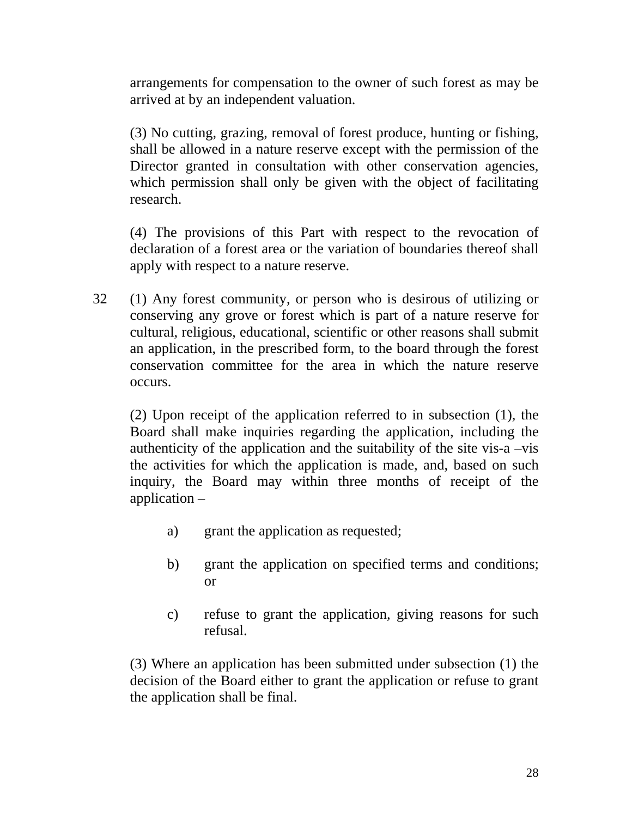arrangements for compensation to the owner of such forest as may be arrived at by an independent valuation.

 (3) No cutting, grazing, removal of forest produce, hunting or fishing, shall be allowed in a nature reserve except with the permission of the Director granted in consultation with other conservation agencies, which permission shall only be given with the object of facilitating research.

 (4) The provisions of this Part with respect to the revocation of declaration of a forest area or the variation of boundaries thereof shall apply with respect to a nature reserve.

32 (1) Any forest community, or person who is desirous of utilizing or conserving any grove or forest which is part of a nature reserve for cultural, religious, educational, scientific or other reasons shall submit an application, in the prescribed form, to the board through the forest conservation committee for the area in which the nature reserve occurs.

(2) Upon receipt of the application referred to in subsection (1), the Board shall make inquiries regarding the application, including the authenticity of the application and the suitability of the site vis-a –vis the activities for which the application is made, and, based on such inquiry, the Board may within three months of receipt of the application –

- a) grant the application as requested;
- b) grant the application on specified terms and conditions; or
- c) refuse to grant the application, giving reasons for such refusal.

 (3) Where an application has been submitted under subsection (1) the decision of the Board either to grant the application or refuse to grant the application shall be final.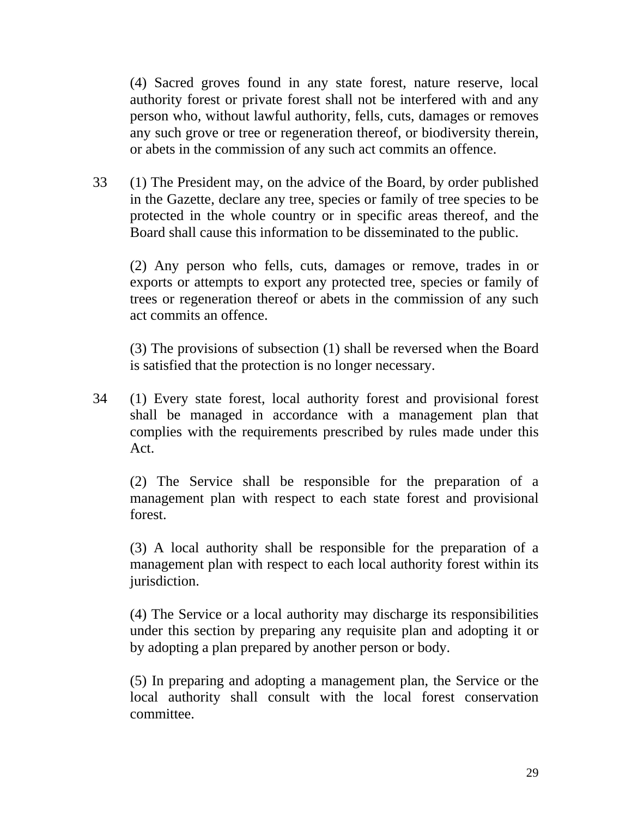(4) Sacred groves found in any state forest, nature reserve, local authority forest or private forest shall not be interfered with and any person who, without lawful authority, fells, cuts, damages or removes any such grove or tree or regeneration thereof, or biodiversity therein, or abets in the commission of any such act commits an offence.

33 (1) The President may, on the advice of the Board, by order published in the Gazette, declare any tree, species or family of tree species to be protected in the whole country or in specific areas thereof, and the Board shall cause this information to be disseminated to the public.

 (2) Any person who fells, cuts, damages or remove, trades in or exports or attempts to export any protected tree, species or family of trees or regeneration thereof or abets in the commission of any such act commits an offence.

 (3) The provisions of subsection (1) shall be reversed when the Board is satisfied that the protection is no longer necessary.

34 (1) Every state forest, local authority forest and provisional forest shall be managed in accordance with a management plan that complies with the requirements prescribed by rules made under this Act.

 (2) The Service shall be responsible for the preparation of a management plan with respect to each state forest and provisional forest.

 (3) A local authority shall be responsible for the preparation of a management plan with respect to each local authority forest within its jurisdiction.

 (4) The Service or a local authority may discharge its responsibilities under this section by preparing any requisite plan and adopting it or by adopting a plan prepared by another person or body.

 (5) In preparing and adopting a management plan, the Service or the local authority shall consult with the local forest conservation committee.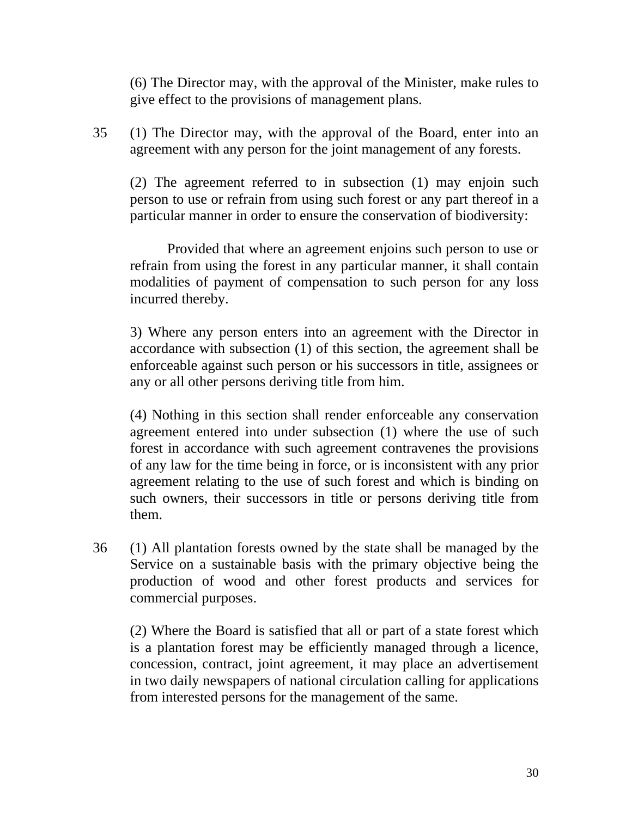(6) The Director may, with the approval of the Minister, make rules to give effect to the provisions of management plans.

35 (1) The Director may, with the approval of the Board, enter into an agreement with any person for the joint management of any forests.

 (2) The agreement referred to in subsection (1) may enjoin such person to use or refrain from using such forest or any part thereof in a particular manner in order to ensure the conservation of biodiversity:

 Provided that where an agreement enjoins such person to use or refrain from using the forest in any particular manner, it shall contain modalities of payment of compensation to such person for any loss incurred thereby.

 3) Where any person enters into an agreement with the Director in accordance with subsection (1) of this section, the agreement shall be enforceable against such person or his successors in title, assignees or any or all other persons deriving title from him.

 (4) Nothing in this section shall render enforceable any conservation agreement entered into under subsection (1) where the use of such forest in accordance with such agreement contravenes the provisions of any law for the time being in force, or is inconsistent with any prior agreement relating to the use of such forest and which is binding on such owners, their successors in title or persons deriving title from them.

36 (1) All plantation forests owned by the state shall be managed by the Service on a sustainable basis with the primary objective being the production of wood and other forest products and services for commercial purposes.

 (2) Where the Board is satisfied that all or part of a state forest which is a plantation forest may be efficiently managed through a licence, concession, contract, joint agreement, it may place an advertisement in two daily newspapers of national circulation calling for applications from interested persons for the management of the same.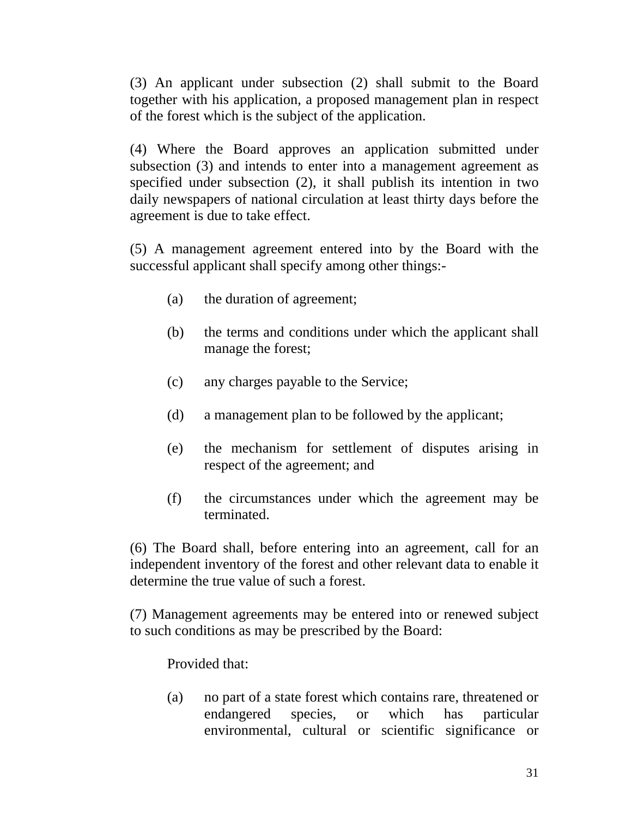(3) An applicant under subsection (2) shall submit to the Board together with his application, a proposed management plan in respect of the forest which is the subject of the application.

 (4) Where the Board approves an application submitted under subsection (3) and intends to enter into a management agreement as specified under subsection (2), it shall publish its intention in two daily newspapers of national circulation at least thirty days before the agreement is due to take effect.

 (5) A management agreement entered into by the Board with the successful applicant shall specify among other things:-

- (a) the duration of agreement;
- (b) the terms and conditions under which the applicant shall manage the forest;
- (c) any charges payable to the Service;
- (d) a management plan to be followed by the applicant;
- (e) the mechanism for settlement of disputes arising in respect of the agreement; and
- (f) the circumstances under which the agreement may be terminated.

(6) The Board shall, before entering into an agreement, call for an independent inventory of the forest and other relevant data to enable it determine the true value of such a forest.

(7) Management agreements may be entered into or renewed subject to such conditions as may be prescribed by the Board:

Provided that:

(a) no part of a state forest which contains rare, threatened or endangered species, or which has particular environmental, cultural or scientific significance or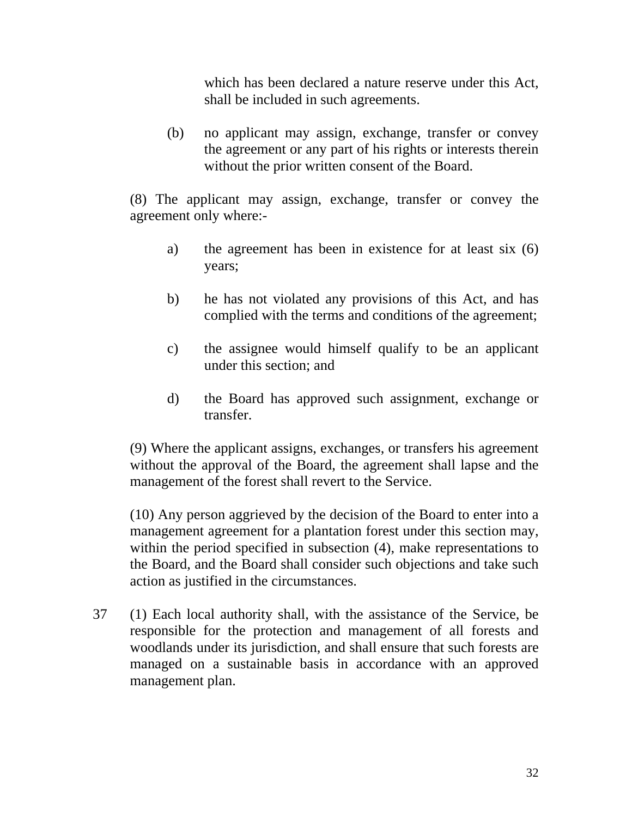which has been declared a nature reserve under this Act, shall be included in such agreements.

(b) no applicant may assign, exchange, transfer or convey the agreement or any part of his rights or interests therein without the prior written consent of the Board.

(8) The applicant may assign, exchange, transfer or convey the agreement only where:-

- a) the agreement has been in existence for at least six (6) years;
- b) he has not violated any provisions of this Act, and has complied with the terms and conditions of the agreement;
- c) the assignee would himself qualify to be an applicant under this section; and
- d) the Board has approved such assignment, exchange or transfer.

(9) Where the applicant assigns, exchanges, or transfers his agreement without the approval of the Board, the agreement shall lapse and the management of the forest shall revert to the Service.

(10) Any person aggrieved by the decision of the Board to enter into a management agreement for a plantation forest under this section may, within the period specified in subsection (4), make representations to the Board, and the Board shall consider such objections and take such action as justified in the circumstances.

37 (1) Each local authority shall, with the assistance of the Service, be responsible for the protection and management of all forests and woodlands under its jurisdiction, and shall ensure that such forests are managed on a sustainable basis in accordance with an approved management plan.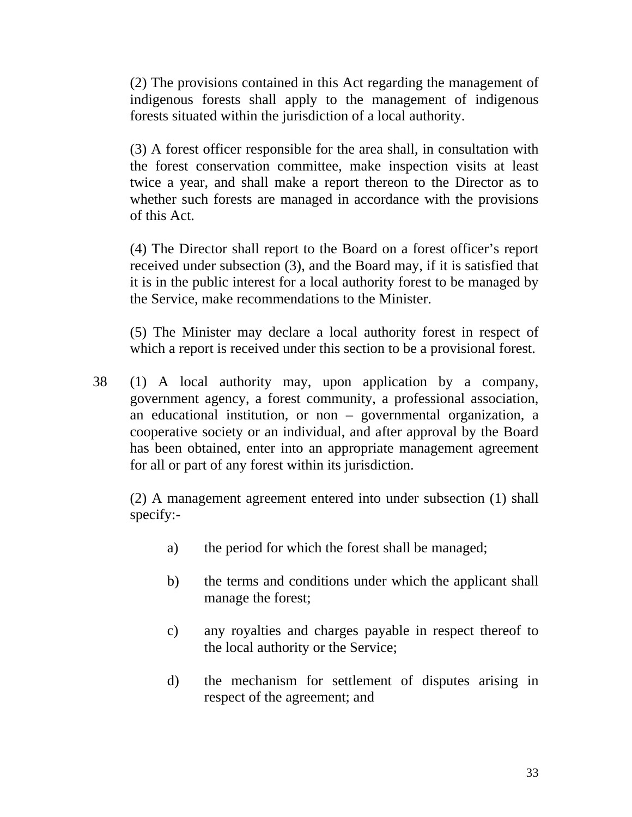(2) The provisions contained in this Act regarding the management of indigenous forests shall apply to the management of indigenous forests situated within the jurisdiction of a local authority.

 (3) A forest officer responsible for the area shall, in consultation with the forest conservation committee, make inspection visits at least twice a year, and shall make a report thereon to the Director as to whether such forests are managed in accordance with the provisions of this Act.

(4) The Director shall report to the Board on a forest officer's report received under subsection (3), and the Board may, if it is satisfied that it is in the public interest for a local authority forest to be managed by the Service, make recommendations to the Minister.

 (5) The Minister may declare a local authority forest in respect of which a report is received under this section to be a provisional forest.

38 (1) A local authority may, upon application by a company, government agency, a forest community, a professional association, an educational institution, or non – governmental organization, a cooperative society or an individual, and after approval by the Board has been obtained, enter into an appropriate management agreement for all or part of any forest within its jurisdiction.

 (2) A management agreement entered into under subsection (1) shall specify:-

- a) the period for which the forest shall be managed;
- b) the terms and conditions under which the applicant shall manage the forest;
- c) any royalties and charges payable in respect thereof to the local authority or the Service;
- d) the mechanism for settlement of disputes arising in respect of the agreement; and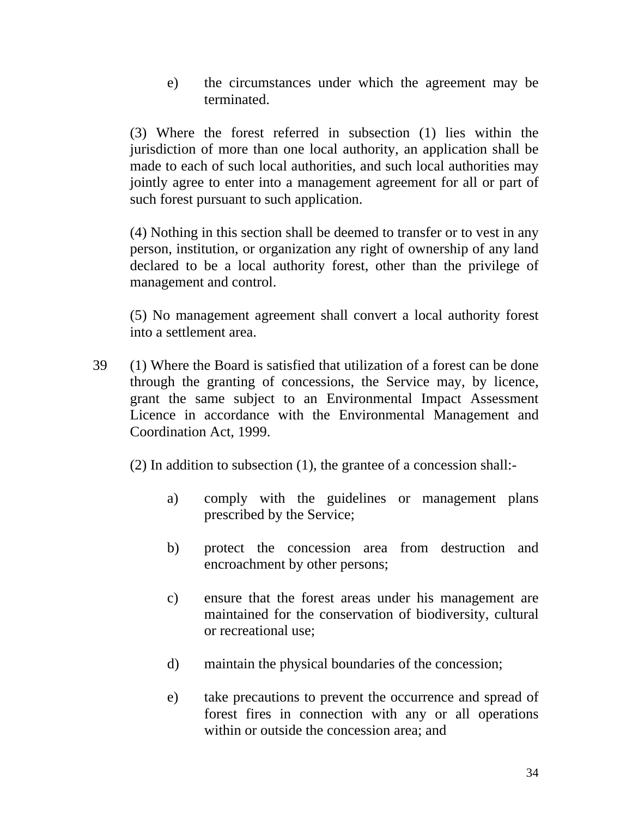e) the circumstances under which the agreement may be terminated.

(3) Where the forest referred in subsection (1) lies within the jurisdiction of more than one local authority, an application shall be made to each of such local authorities, and such local authorities may jointly agree to enter into a management agreement for all or part of such forest pursuant to such application.

 (4) Nothing in this section shall be deemed to transfer or to vest in any person, institution, or organization any right of ownership of any land declared to be a local authority forest, other than the privilege of management and control.

 (5) No management agreement shall convert a local authority forest into a settlement area.

39 (1) Where the Board is satisfied that utilization of a forest can be done through the granting of concessions, the Service may, by licence, grant the same subject to an Environmental Impact Assessment Licence in accordance with the Environmental Management and Coordination Act, 1999.

(2) In addition to subsection (1), the grantee of a concession shall:-

- a) comply with the guidelines or management plans prescribed by the Service;
- b) protect the concession area from destruction and encroachment by other persons;
- c) ensure that the forest areas under his management are maintained for the conservation of biodiversity, cultural or recreational use;
- d) maintain the physical boundaries of the concession;
- e) take precautions to prevent the occurrence and spread of forest fires in connection with any or all operations within or outside the concession area; and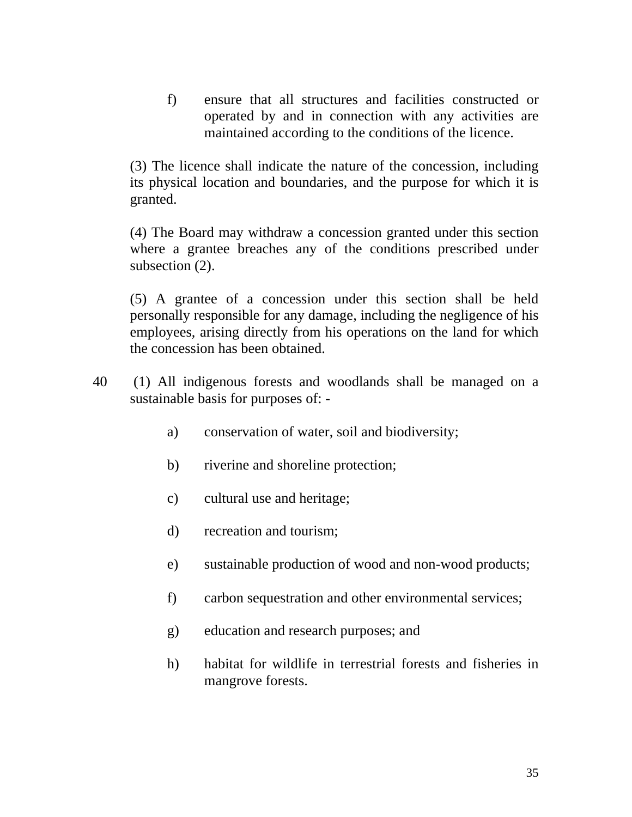f) ensure that all structures and facilities constructed or operated by and in connection with any activities are maintained according to the conditions of the licence.

 (3) The licence shall indicate the nature of the concession, including its physical location and boundaries, and the purpose for which it is granted.

 (4) The Board may withdraw a concession granted under this section where a grantee breaches any of the conditions prescribed under subsection  $(2)$ .

 (5) A grantee of a concession under this section shall be held personally responsible for any damage, including the negligence of his employees, arising directly from his operations on the land for which the concession has been obtained.

- 40 (1) All indigenous forests and woodlands shall be managed on a sustainable basis for purposes of:
	- a) conservation of water, soil and biodiversity;
	- b) riverine and shoreline protection;
	- c) cultural use and heritage;
	- d) recreation and tourism;
	- e) sustainable production of wood and non-wood products;
	- f) carbon sequestration and other environmental services;
	- g) education and research purposes; and
	- h) habitat for wildlife in terrestrial forests and fisheries in mangrove forests.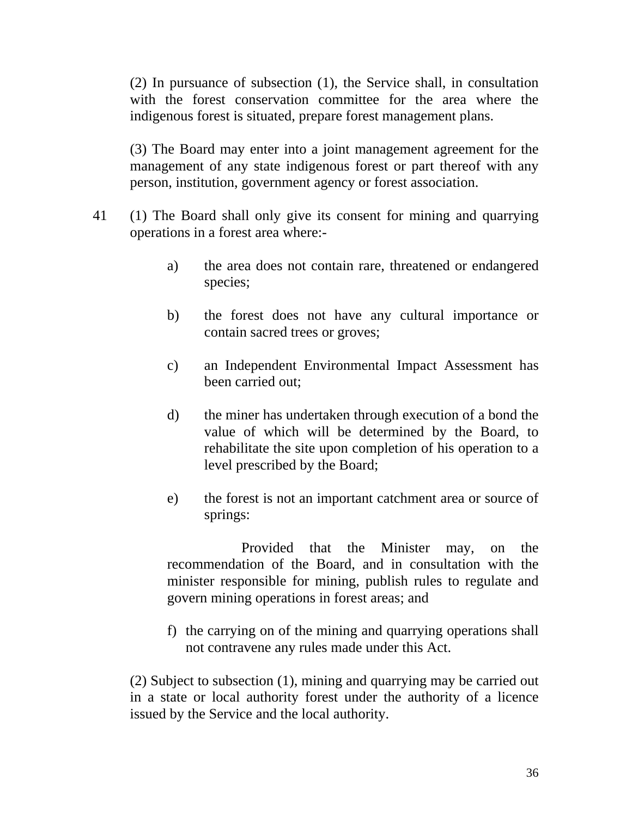(2) In pursuance of subsection (1), the Service shall, in consultation with the forest conservation committee for the area where the indigenous forest is situated, prepare forest management plans.

 (3) The Board may enter into a joint management agreement for the management of any state indigenous forest or part thereof with any person, institution, government agency or forest association.

- 41 (1) The Board shall only give its consent for mining and quarrying operations in a forest area where:
	- a) the area does not contain rare, threatened or endangered species;
	- b) the forest does not have any cultural importance or contain sacred trees or groves;
	- c) an Independent Environmental Impact Assessment has been carried out;
	- d) the miner has undertaken through execution of a bond the value of which will be determined by the Board, to rehabilitate the site upon completion of his operation to a level prescribed by the Board;
	- e) the forest is not an important catchment area or source of springs:

 Provided that the Minister may, on the recommendation of the Board, and in consultation with the minister responsible for mining, publish rules to regulate and govern mining operations in forest areas; and

f) the carrying on of the mining and quarrying operations shall not contravene any rules made under this Act.

(2) Subject to subsection (1), mining and quarrying may be carried out in a state or local authority forest under the authority of a licence issued by the Service and the local authority.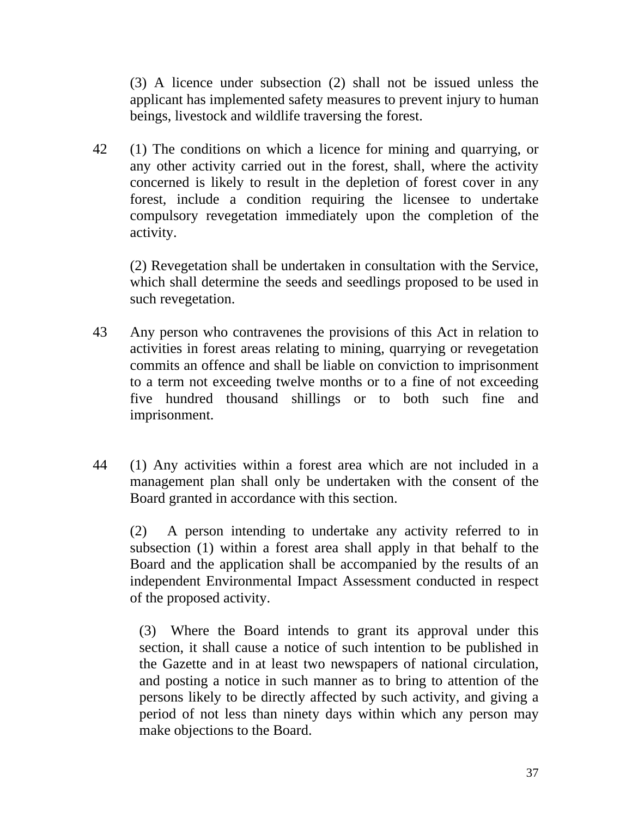(3) A licence under subsection (2) shall not be issued unless the applicant has implemented safety measures to prevent injury to human beings, livestock and wildlife traversing the forest.

42 (1) The conditions on which a licence for mining and quarrying, or any other activity carried out in the forest, shall, where the activity concerned is likely to result in the depletion of forest cover in any forest, include a condition requiring the licensee to undertake compulsory revegetation immediately upon the completion of the activity.

 (2) Revegetation shall be undertaken in consultation with the Service, which shall determine the seeds and seedlings proposed to be used in such revegetation.

- 43 Any person who contravenes the provisions of this Act in relation to activities in forest areas relating to mining, quarrying or revegetation commits an offence and shall be liable on conviction to imprisonment to a term not exceeding twelve months or to a fine of not exceeding five hundred thousand shillings or to both such fine and imprisonment.
- 44 (1) Any activities within a forest area which are not included in a management plan shall only be undertaken with the consent of the Board granted in accordance with this section.

(2) A person intending to undertake any activity referred to in subsection (1) within a forest area shall apply in that behalf to the Board and the application shall be accompanied by the results of an independent Environmental Impact Assessment conducted in respect of the proposed activity.

(3) Where the Board intends to grant its approval under this section, it shall cause a notice of such intention to be published in the Gazette and in at least two newspapers of national circulation, and posting a notice in such manner as to bring to attention of the persons likely to be directly affected by such activity, and giving a period of not less than ninety days within which any person may make objections to the Board.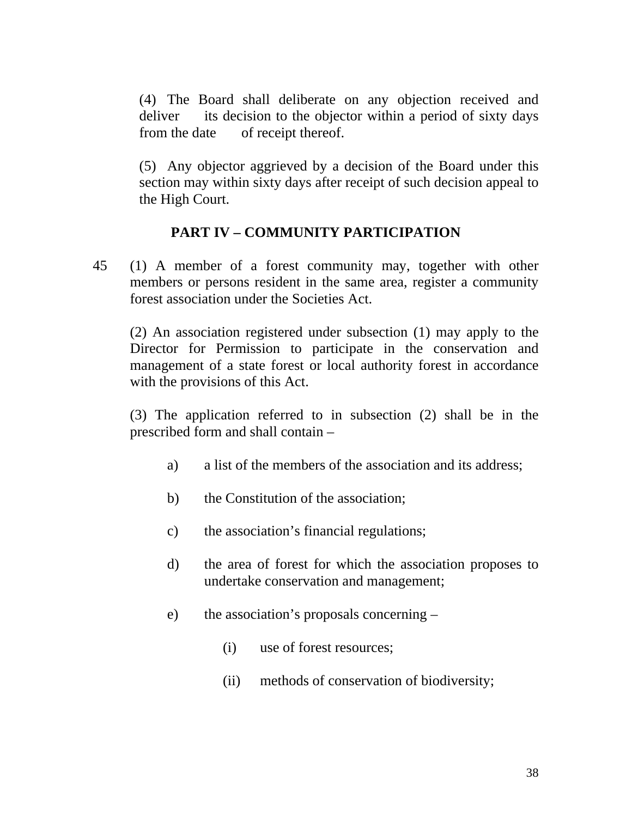(4) The Board shall deliberate on any objection received and deliver its decision to the objector within a period of sixty days from the date of receipt thereof.

(5) Any objector aggrieved by a decision of the Board under this section may within sixty days after receipt of such decision appeal to the High Court.

# **PART IV – COMMUNITY PARTICIPATION**

45 (1) A member of a forest community may, together with other members or persons resident in the same area, register a community forest association under the Societies Act.

(2) An association registered under subsection (1) may apply to the Director for Permission to participate in the conservation and management of a state forest or local authority forest in accordance with the provisions of this Act.

(3) The application referred to in subsection (2) shall be in the prescribed form and shall contain –

- a) a list of the members of the association and its address;
- b) the Constitution of the association;
- c) the association's financial regulations;
- d) the area of forest for which the association proposes to undertake conservation and management;
- e) the association's proposals concerning
	- (i) use of forest resources;
	- (ii) methods of conservation of biodiversity;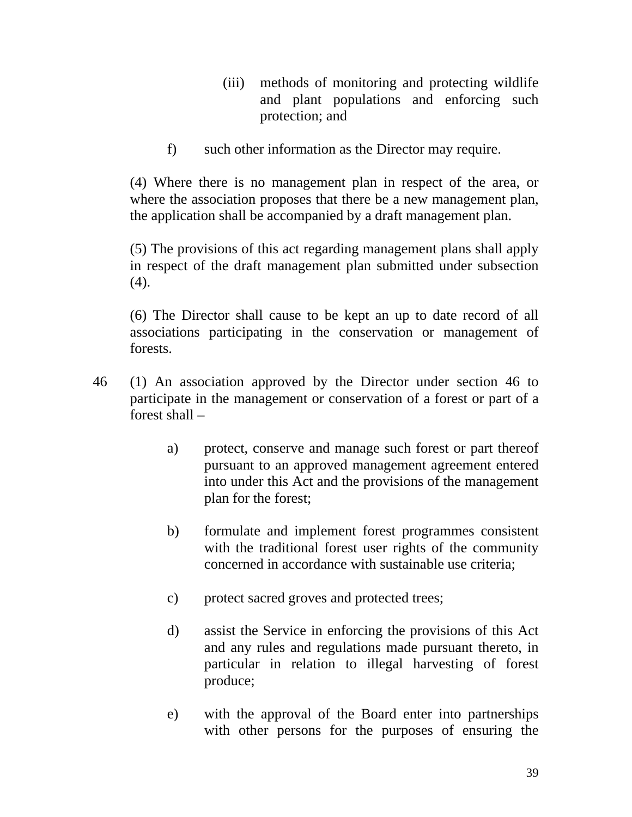- (iii) methods of monitoring and protecting wildlife and plant populations and enforcing such protection; and
- f) such other information as the Director may require.

(4) Where there is no management plan in respect of the area, or where the association proposes that there be a new management plan, the application shall be accompanied by a draft management plan.

(5) The provisions of this act regarding management plans shall apply in respect of the draft management plan submitted under subsection (4).

(6) The Director shall cause to be kept an up to date record of all associations participating in the conservation or management of forests.

- 46 (1) An association approved by the Director under section 46 to participate in the management or conservation of a forest or part of a forest shall –
	- a) protect, conserve and manage such forest or part thereof pursuant to an approved management agreement entered into under this Act and the provisions of the management plan for the forest;
	- b) formulate and implement forest programmes consistent with the traditional forest user rights of the community concerned in accordance with sustainable use criteria;
	- c) protect sacred groves and protected trees;
	- d) assist the Service in enforcing the provisions of this Act and any rules and regulations made pursuant thereto, in particular in relation to illegal harvesting of forest produce;
	- e) with the approval of the Board enter into partnerships with other persons for the purposes of ensuring the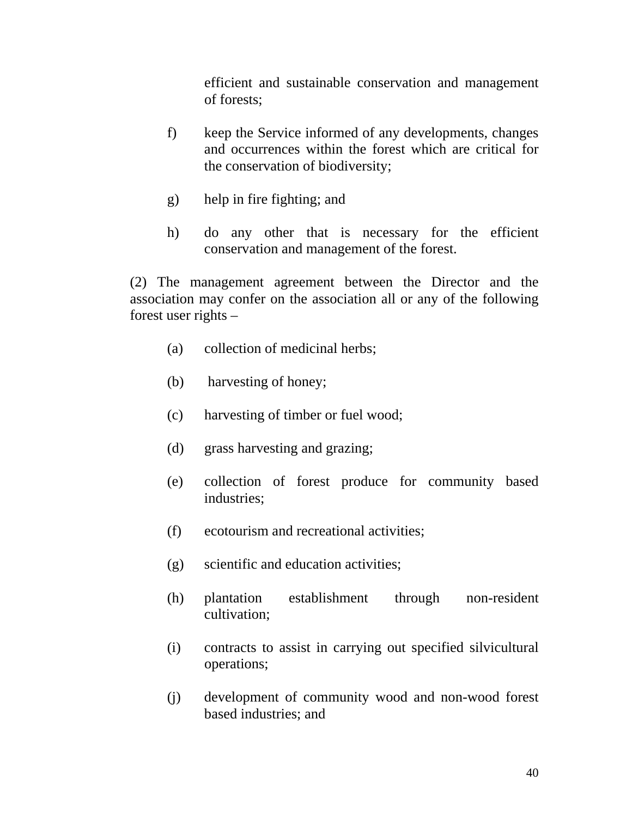efficient and sustainable conservation and management of forests;

- f) keep the Service informed of any developments, changes and occurrences within the forest which are critical for the conservation of biodiversity;
- g) help in fire fighting; and
- h) do any other that is necessary for the efficient conservation and management of the forest.

 (2) The management agreement between the Director and the association may confer on the association all or any of the following forest user rights –

- (a) collection of medicinal herbs;
- (b) harvesting of honey;
- (c) harvesting of timber or fuel wood;
- (d) grass harvesting and grazing;
- (e) collection of forest produce for community based industries;
- (f) ecotourism and recreational activities;
- (g) scientific and education activities;
- (h) plantation establishment through non-resident cultivation;
- (i) contracts to assist in carrying out specified silvicultural operations;
- (j) development of community wood and non-wood forest based industries; and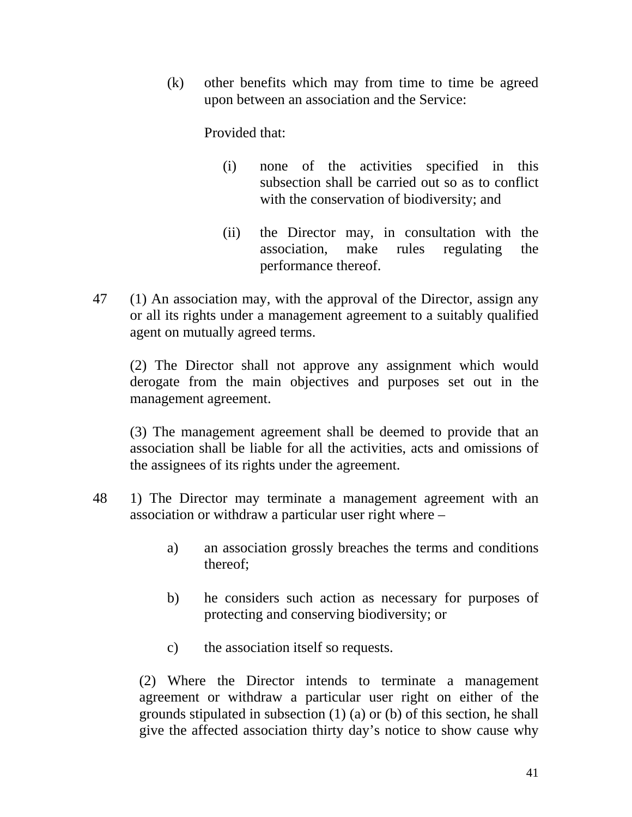(k) other benefits which may from time to time be agreed upon between an association and the Service:

Provided that:

- (i) none of the activities specified in this subsection shall be carried out so as to conflict with the conservation of biodiversity; and
- (ii) the Director may, in consultation with the association, make rules regulating the performance thereof.
- 47 (1) An association may, with the approval of the Director, assign any or all its rights under a management agreement to a suitably qualified agent on mutually agreed terms.

 (2) The Director shall not approve any assignment which would derogate from the main objectives and purposes set out in the management agreement.

 (3) The management agreement shall be deemed to provide that an association shall be liable for all the activities, acts and omissions of the assignees of its rights under the agreement.

- 48 1) The Director may terminate a management agreement with an association or withdraw a particular user right where –
	- a) an association grossly breaches the terms and conditions thereof;
	- b) he considers such action as necessary for purposes of protecting and conserving biodiversity; or
	- c) the association itself so requests.

(2) Where the Director intends to terminate a management agreement or withdraw a particular user right on either of the grounds stipulated in subsection (1) (a) or (b) of this section, he shall give the affected association thirty day's notice to show cause why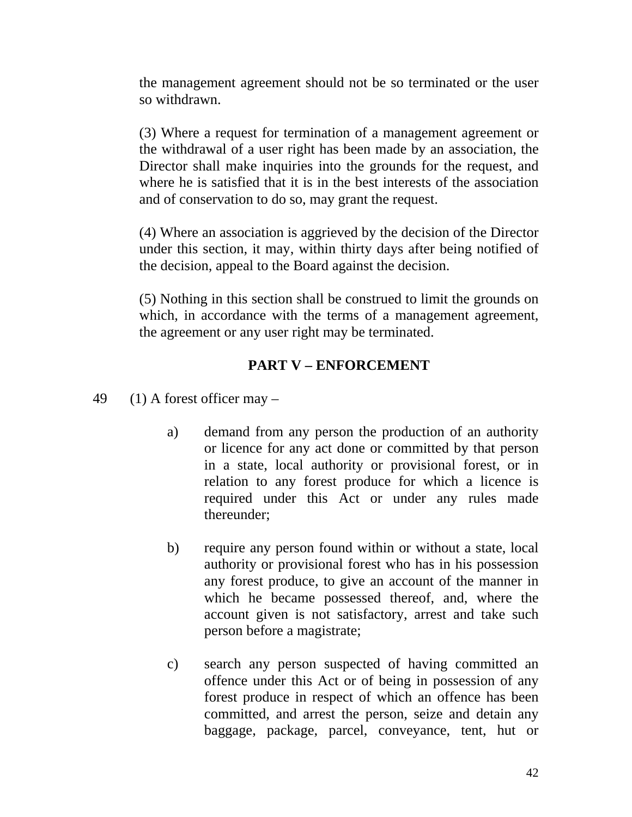the management agreement should not be so terminated or the user so withdrawn.

(3) Where a request for termination of a management agreement or the withdrawal of a user right has been made by an association, the Director shall make inquiries into the grounds for the request, and where he is satisfied that it is in the best interests of the association and of conservation to do so, may grant the request.

(4) Where an association is aggrieved by the decision of the Director under this section, it may, within thirty days after being notified of the decision, appeal to the Board against the decision.

(5) Nothing in this section shall be construed to limit the grounds on which, in accordance with the terms of a management agreement, the agreement or any user right may be terminated.

## **PART V – ENFORCEMENT**

- 49 (1) A forest officer may  $$ 
	- a) demand from any person the production of an authority or licence for any act done or committed by that person in a state, local authority or provisional forest, or in relation to any forest produce for which a licence is required under this Act or under any rules made thereunder;
	- b) require any person found within or without a state, local authority or provisional forest who has in his possession any forest produce, to give an account of the manner in which he became possessed thereof, and, where the account given is not satisfactory, arrest and take such person before a magistrate;
	- c) search any person suspected of having committed an offence under this Act or of being in possession of any forest produce in respect of which an offence has been committed, and arrest the person, seize and detain any baggage, package, parcel, conveyance, tent, hut or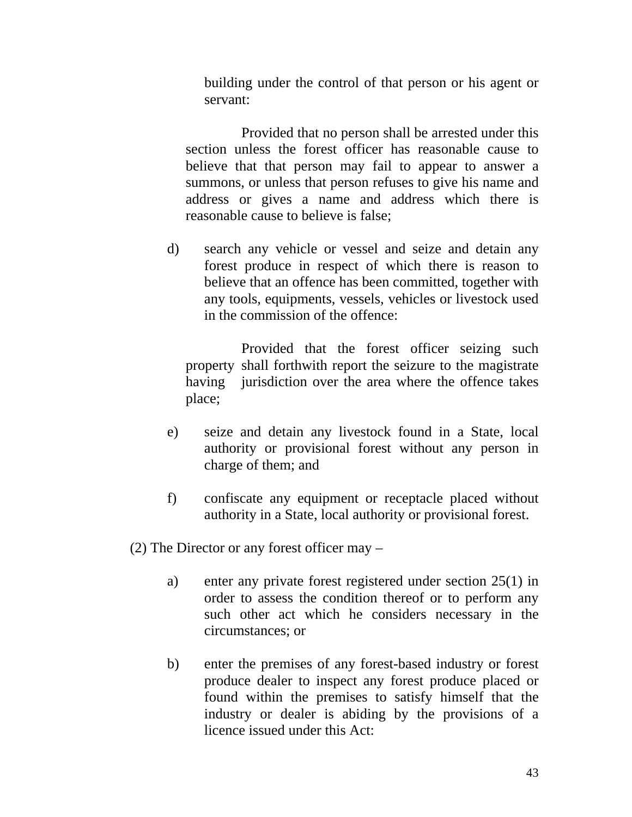building under the control of that person or his agent or servant:

 Provided that no person shall be arrested under this section unless the forest officer has reasonable cause to believe that that person may fail to appear to answer a summons, or unless that person refuses to give his name and address or gives a name and address which there is reasonable cause to believe is false;

d) search any vehicle or vessel and seize and detain any forest produce in respect of which there is reason to believe that an offence has been committed, together with any tools, equipments, vessels, vehicles or livestock used in the commission of the offence:

 Provided that the forest officer seizing such property shall forthwith report the seizure to the magistrate having jurisdiction over the area where the offence takes place;

- e) seize and detain any livestock found in a State, local authority or provisional forest without any person in charge of them; and
- f) confiscate any equipment or receptacle placed without authority in a State, local authority or provisional forest.

(2) The Director or any forest officer may –

- a) enter any private forest registered under section 25(1) in order to assess the condition thereof or to perform any such other act which he considers necessary in the circumstances; or
- b) enter the premises of any forest-based industry or forest produce dealer to inspect any forest produce placed or found within the premises to satisfy himself that the industry or dealer is abiding by the provisions of a licence issued under this Act: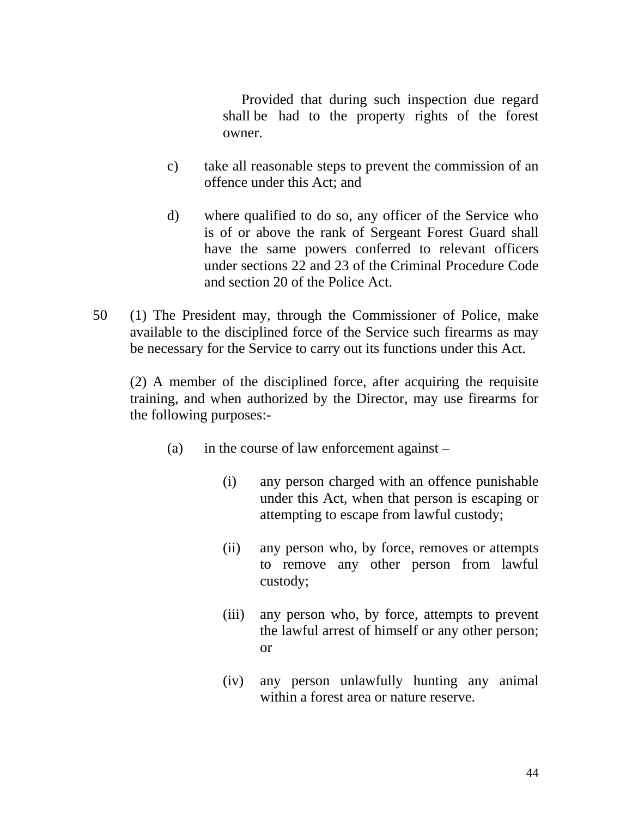Provided that during such inspection due regard shall be had to the property rights of the forest owner.

- c) take all reasonable steps to prevent the commission of an offence under this Act; and
- d) where qualified to do so, any officer of the Service who is of or above the rank of Sergeant Forest Guard shall have the same powers conferred to relevant officers under sections 22 and 23 of the Criminal Procedure Code and section 20 of the Police Act.
- 50 (1) The President may, through the Commissioner of Police, make available to the disciplined force of the Service such firearms as may be necessary for the Service to carry out its functions under this Act.

(2) A member of the disciplined force, after acquiring the requisite training, and when authorized by the Director, may use firearms for the following purposes:-

- (a) in the course of law enforcement against
	- (i) any person charged with an offence punishable under this Act, when that person is escaping or attempting to escape from lawful custody;
	- (ii) any person who, by force, removes or attempts to remove any other person from lawful custody;
	- (iii) any person who, by force, attempts to prevent the lawful arrest of himself or any other person; or
	- (iv) any person unlawfully hunting any animal within a forest area or nature reserve.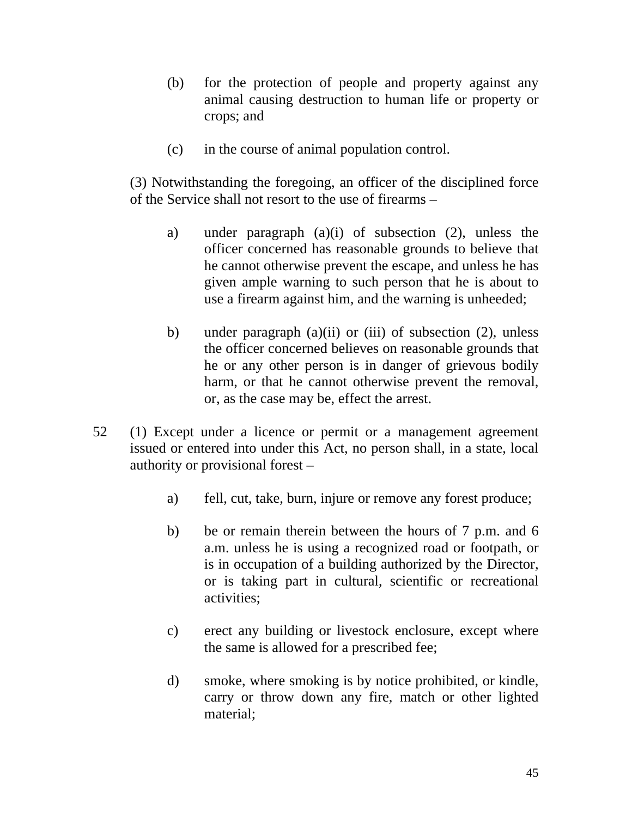- (b) for the protection of people and property against any animal causing destruction to human life or property or crops; and
- (c) in the course of animal population control.

(3) Notwithstanding the foregoing, an officer of the disciplined force of the Service shall not resort to the use of firearms –

- a) under paragraph (a)(i) of subsection (2), unless the officer concerned has reasonable grounds to believe that he cannot otherwise prevent the escape, and unless he has given ample warning to such person that he is about to use a firearm against him, and the warning is unheeded;
- b) under paragraph (a)(ii) or (iii) of subsection (2), unless the officer concerned believes on reasonable grounds that he or any other person is in danger of grievous bodily harm, or that he cannot otherwise prevent the removal, or, as the case may be, effect the arrest.
- 52 (1) Except under a licence or permit or a management agreement issued or entered into under this Act, no person shall, in a state, local authority or provisional forest –
	- a) fell, cut, take, burn, injure or remove any forest produce;
	- b) be or remain therein between the hours of 7 p.m. and 6 a.m. unless he is using a recognized road or footpath, or is in occupation of a building authorized by the Director, or is taking part in cultural, scientific or recreational activities;
	- c) erect any building or livestock enclosure, except where the same is allowed for a prescribed fee;
	- d) smoke, where smoking is by notice prohibited, or kindle, carry or throw down any fire, match or other lighted material;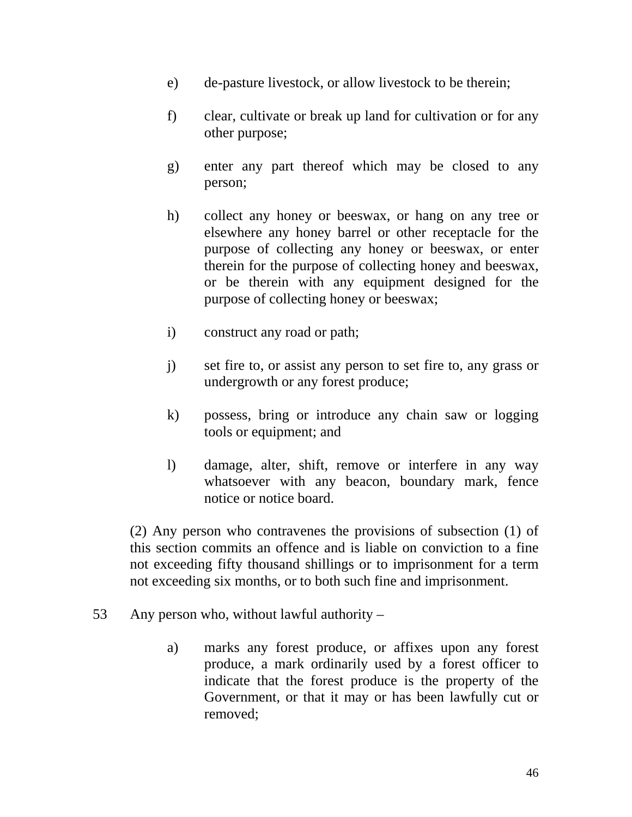- e) de-pasture livestock, or allow livestock to be therein;
- f) clear, cultivate or break up land for cultivation or for any other purpose;
- g) enter any part thereof which may be closed to any person;
- h) collect any honey or beeswax, or hang on any tree or elsewhere any honey barrel or other receptacle for the purpose of collecting any honey or beeswax, or enter therein for the purpose of collecting honey and beeswax, or be therein with any equipment designed for the purpose of collecting honey or beeswax;
- i) construct any road or path;
- j) set fire to, or assist any person to set fire to, any grass or undergrowth or any forest produce;
- k) possess, bring or introduce any chain saw or logging tools or equipment; and
- l) damage, alter, shift, remove or interfere in any way whatsoever with any beacon, boundary mark, fence notice or notice board.

 (2) Any person who contravenes the provisions of subsection (1) of this section commits an offence and is liable on conviction to a fine not exceeding fifty thousand shillings or to imprisonment for a term not exceeding six months, or to both such fine and imprisonment.

- 53 Any person who, without lawful authority
	- a) marks any forest produce, or affixes upon any forest produce, a mark ordinarily used by a forest officer to indicate that the forest produce is the property of the Government, or that it may or has been lawfully cut or removed;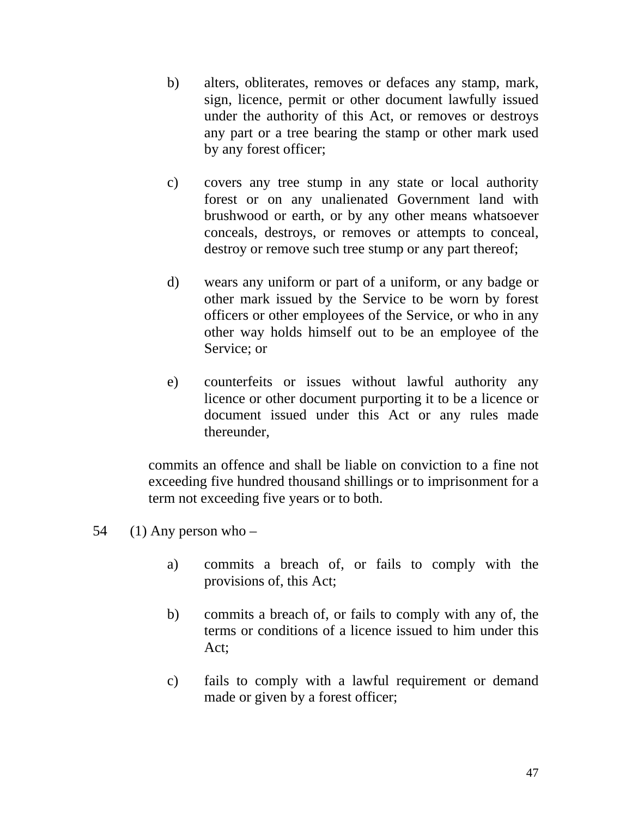- b) alters, obliterates, removes or defaces any stamp, mark, sign, licence, permit or other document lawfully issued under the authority of this Act, or removes or destroys any part or a tree bearing the stamp or other mark used by any forest officer;
- c) covers any tree stump in any state or local authority forest or on any unalienated Government land with brushwood or earth, or by any other means whatsoever conceals, destroys, or removes or attempts to conceal, destroy or remove such tree stump or any part thereof;
- d) wears any uniform or part of a uniform, or any badge or other mark issued by the Service to be worn by forest officers or other employees of the Service, or who in any other way holds himself out to be an employee of the Service; or
- e) counterfeits or issues without lawful authority any licence or other document purporting it to be a licence or document issued under this Act or any rules made thereunder,

commits an offence and shall be liable on conviction to a fine not exceeding five hundred thousand shillings or to imprisonment for a term not exceeding five years or to both.

- 54  $(1)$  Any person who
	- a) commits a breach of, or fails to comply with the provisions of, this Act;
	- b) commits a breach of, or fails to comply with any of, the terms or conditions of a licence issued to him under this Act;
	- c) fails to comply with a lawful requirement or demand made or given by a forest officer;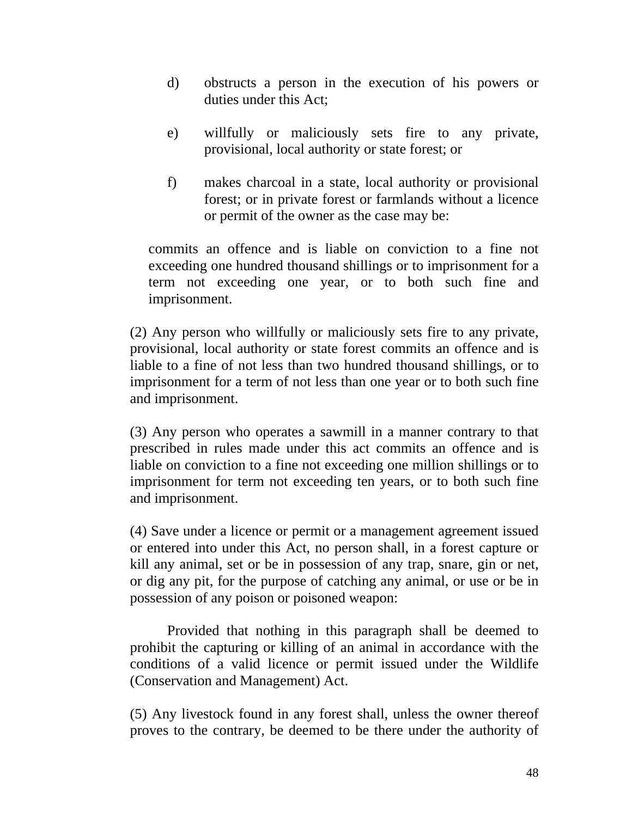- d) obstructs a person in the execution of his powers or duties under this Act;
- e) willfully or maliciously sets fire to any private, provisional, local authority or state forest; or
- f) makes charcoal in a state, local authority or provisional forest; or in private forest or farmlands without a licence or permit of the owner as the case may be:

commits an offence and is liable on conviction to a fine not exceeding one hundred thousand shillings or to imprisonment for a term not exceeding one year, or to both such fine and imprisonment.

(2) Any person who willfully or maliciously sets fire to any private, provisional, local authority or state forest commits an offence and is liable to a fine of not less than two hundred thousand shillings, or to imprisonment for a term of not less than one year or to both such fine and imprisonment.

(3) Any person who operates a sawmill in a manner contrary to that prescribed in rules made under this act commits an offence and is liable on conviction to a fine not exceeding one million shillings or to imprisonment for term not exceeding ten years, or to both such fine and imprisonment.

(4) Save under a licence or permit or a management agreement issued or entered into under this Act, no person shall, in a forest capture or kill any animal, set or be in possession of any trap, snare, gin or net, or dig any pit, for the purpose of catching any animal, or use or be in possession of any poison or poisoned weapon:

 Provided that nothing in this paragraph shall be deemed to prohibit the capturing or killing of an animal in accordance with the conditions of a valid licence or permit issued under the Wildlife (Conservation and Management) Act.

(5) Any livestock found in any forest shall, unless the owner thereof proves to the contrary, be deemed to be there under the authority of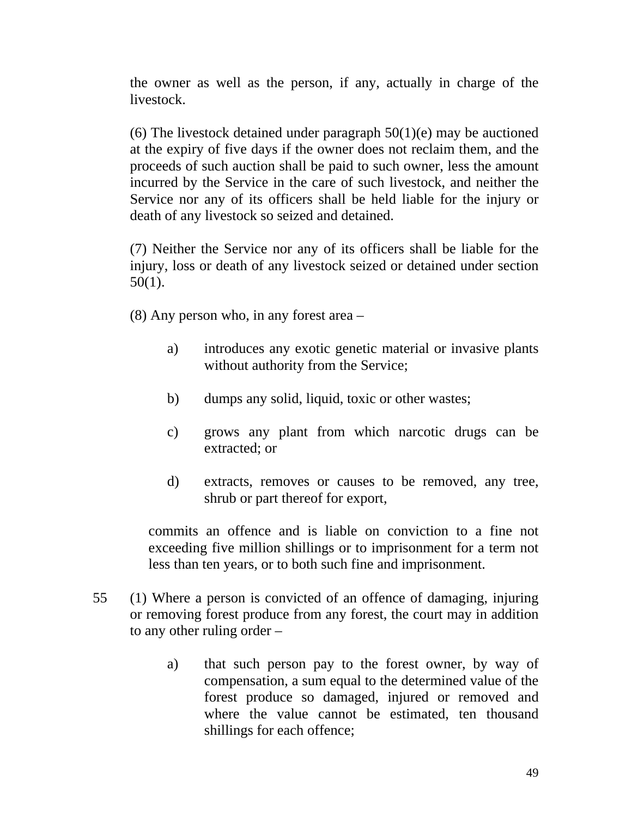the owner as well as the person, if any, actually in charge of the livestock.

(6) The livestock detained under paragraph  $50(1)(e)$  may be auctioned at the expiry of five days if the owner does not reclaim them, and the proceeds of such auction shall be paid to such owner, less the amount incurred by the Service in the care of such livestock, and neither the Service nor any of its officers shall be held liable for the injury or death of any livestock so seized and detained.

(7) Neither the Service nor any of its officers shall be liable for the injury, loss or death of any livestock seized or detained under section 50(1).

(8) Any person who, in any forest area –

- a) introduces any exotic genetic material or invasive plants without authority from the Service;
- b) dumps any solid, liquid, toxic or other wastes;
- c) grows any plant from which narcotic drugs can be extracted; or
- d) extracts, removes or causes to be removed, any tree, shrub or part thereof for export,

commits an offence and is liable on conviction to a fine not exceeding five million shillings or to imprisonment for a term not less than ten years, or to both such fine and imprisonment.

- 55 (1) Where a person is convicted of an offence of damaging, injuring or removing forest produce from any forest, the court may in addition to any other ruling order –
	- a) that such person pay to the forest owner, by way of compensation, a sum equal to the determined value of the forest produce so damaged, injured or removed and where the value cannot be estimated, ten thousand shillings for each offence;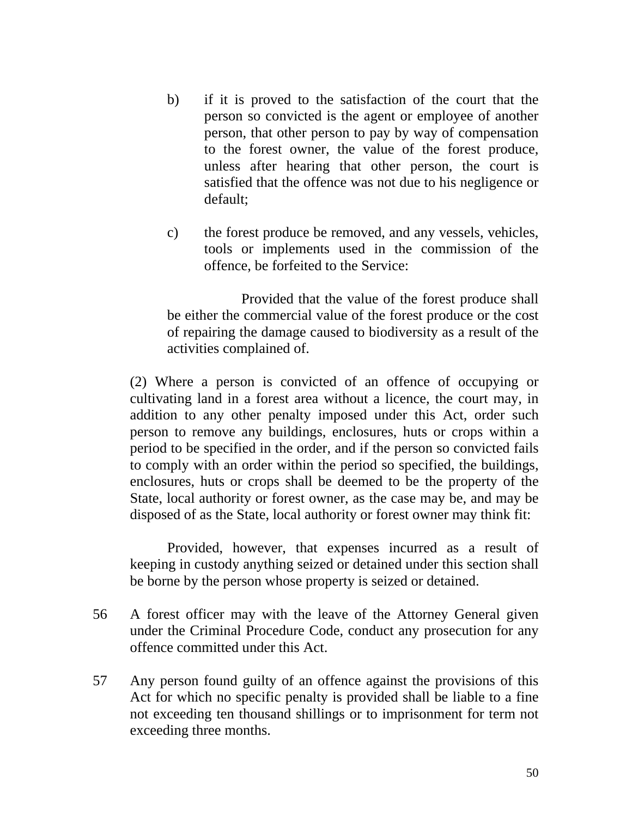- b) if it is proved to the satisfaction of the court that the person so convicted is the agent or employee of another person, that other person to pay by way of compensation to the forest owner, the value of the forest produce, unless after hearing that other person, the court is satisfied that the offence was not due to his negligence or default;
- c) the forest produce be removed, and any vessels, vehicles, tools or implements used in the commission of the offence, be forfeited to the Service:

 Provided that the value of the forest produce shall be either the commercial value of the forest produce or the cost of repairing the damage caused to biodiversity as a result of the activities complained of.

(2) Where a person is convicted of an offence of occupying or cultivating land in a forest area without a licence, the court may, in addition to any other penalty imposed under this Act, order such person to remove any buildings, enclosures, huts or crops within a period to be specified in the order, and if the person so convicted fails to comply with an order within the period so specified, the buildings, enclosures, huts or crops shall be deemed to be the property of the State, local authority or forest owner, as the case may be, and may be disposed of as the State, local authority or forest owner may think fit:

 Provided, however, that expenses incurred as a result of keeping in custody anything seized or detained under this section shall be borne by the person whose property is seized or detained.

- 56 A forest officer may with the leave of the Attorney General given under the Criminal Procedure Code, conduct any prosecution for any offence committed under this Act.
- 57 Any person found guilty of an offence against the provisions of this Act for which no specific penalty is provided shall be liable to a fine not exceeding ten thousand shillings or to imprisonment for term not exceeding three months.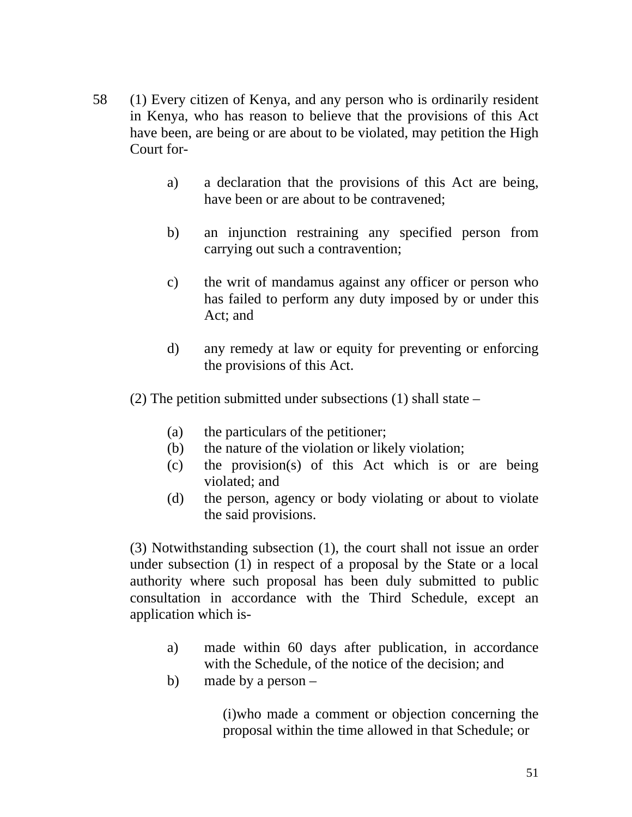- 58 (1) Every citizen of Kenya, and any person who is ordinarily resident in Kenya, who has reason to believe that the provisions of this Act have been, are being or are about to be violated, may petition the High Court for
	- a) a declaration that the provisions of this Act are being, have been or are about to be contravened;
	- b) an injunction restraining any specified person from carrying out such a contravention;
	- c) the writ of mandamus against any officer or person who has failed to perform any duty imposed by or under this Act; and
	- d) any remedy at law or equity for preventing or enforcing the provisions of this Act.
	- (2) The petition submitted under subsections (1) shall state
		- (a) the particulars of the petitioner;
		- (b) the nature of the violation or likely violation;
		- (c) the provision(s) of this Act which is or are being violated; and
		- (d) the person, agency or body violating or about to violate the said provisions.

 (3) Notwithstanding subsection (1), the court shall not issue an order under subsection (1) in respect of a proposal by the State or a local authority where such proposal has been duly submitted to public consultation in accordance with the Third Schedule, except an application which is-

- a) made within 60 days after publication, in accordance with the Schedule, of the notice of the decision; and
- b) made by a person –

(i)who made a comment or objection concerning the proposal within the time allowed in that Schedule; or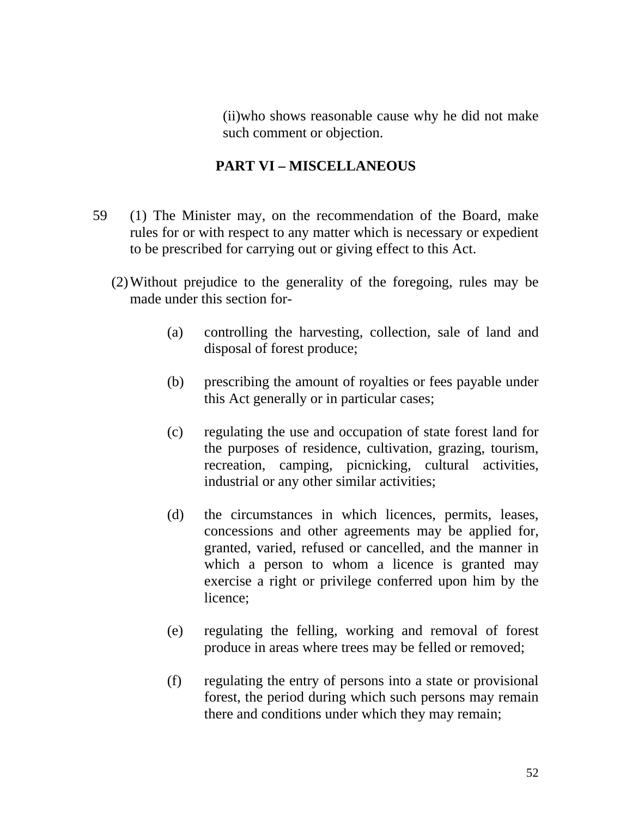(ii)who shows reasonable cause why he did not make such comment or objection.

### **PART VI – MISCELLANEOUS**

- 59 (1) The Minister may, on the recommendation of the Board, make rules for or with respect to any matter which is necessary or expedient to be prescribed for carrying out or giving effect to this Act.
	- (2)Without prejudice to the generality of the foregoing, rules may be made under this section for-
		- (a) controlling the harvesting, collection, sale of land and disposal of forest produce;
		- (b) prescribing the amount of royalties or fees payable under this Act generally or in particular cases;
		- (c) regulating the use and occupation of state forest land for the purposes of residence, cultivation, grazing, tourism, recreation, camping, picnicking, cultural activities, industrial or any other similar activities;
		- (d) the circumstances in which licences, permits, leases, concessions and other agreements may be applied for, granted, varied, refused or cancelled, and the manner in which a person to whom a licence is granted may exercise a right or privilege conferred upon him by the licence;
		- (e) regulating the felling, working and removal of forest produce in areas where trees may be felled or removed;
		- (f) regulating the entry of persons into a state or provisional forest, the period during which such persons may remain there and conditions under which they may remain;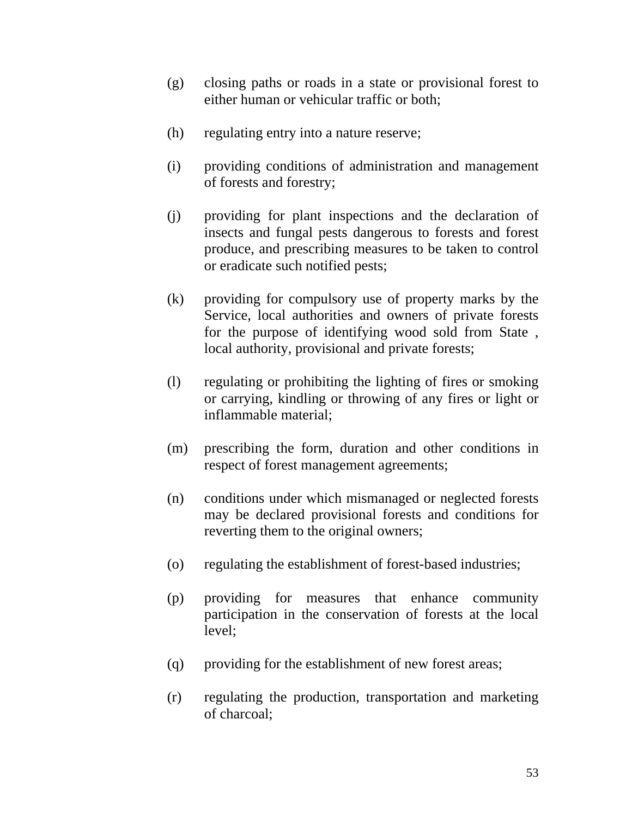- (g) closing paths or roads in a state or provisional forest to either human or vehicular traffic or both;
- (h) regulating entry into a nature reserve;
- (i) providing conditions of administration and management of forests and forestry;
- (j) providing for plant inspections and the declaration of insects and fungal pests dangerous to forests and forest produce, and prescribing measures to be taken to control or eradicate such notified pests;
- (k) providing for compulsory use of property marks by the Service, local authorities and owners of private forests for the purpose of identifying wood sold from State , local authority, provisional and private forests;
- (l) regulating or prohibiting the lighting of fires or smoking or carrying, kindling or throwing of any fires or light or inflammable material;
- (m) prescribing the form, duration and other conditions in respect of forest management agreements;
- (n) conditions under which mismanaged or neglected forests may be declared provisional forests and conditions for reverting them to the original owners;
- (o) regulating the establishment of forest-based industries;
- (p) providing for measures that enhance community participation in the conservation of forests at the local level;
- (q) providing for the establishment of new forest areas;
- (r) regulating the production, transportation and marketing of charcoal;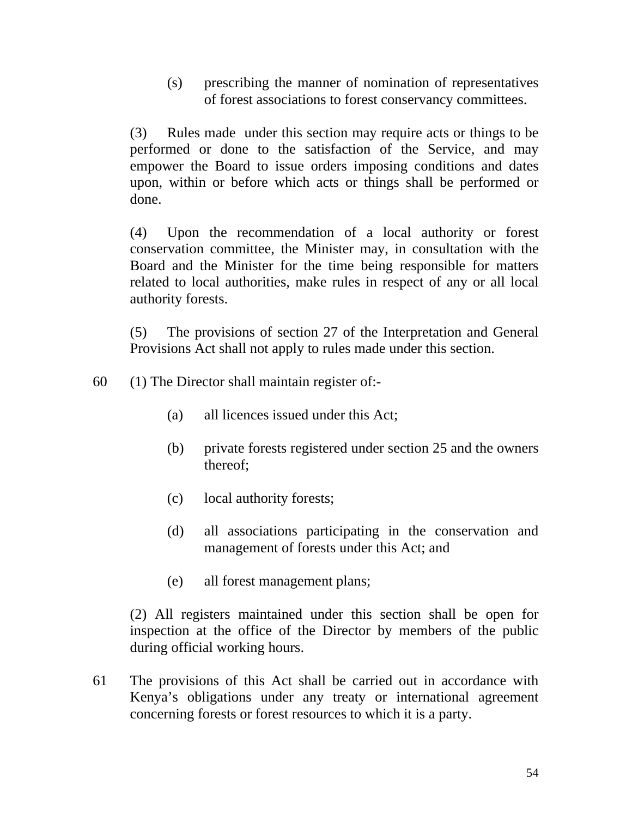(s) prescribing the manner of nomination of representatives of forest associations to forest conservancy committees.

(3) Rules made under this section may require acts or things to be performed or done to the satisfaction of the Service, and may empower the Board to issue orders imposing conditions and dates upon, within or before which acts or things shall be performed or done.

(4) Upon the recommendation of a local authority or forest conservation committee, the Minister may, in consultation with the Board and the Minister for the time being responsible for matters related to local authorities, make rules in respect of any or all local authority forests.

(5) The provisions of section 27 of the Interpretation and General Provisions Act shall not apply to rules made under this section.

- 60 (1) The Director shall maintain register of:-
	- (a) all licences issued under this Act;
	- (b) private forests registered under section 25 and the owners thereof;
	- (c) local authority forests;
	- (d) all associations participating in the conservation and management of forests under this Act; and
	- (e) all forest management plans;

(2) All registers maintained under this section shall be open for inspection at the office of the Director by members of the public during official working hours.

61 The provisions of this Act shall be carried out in accordance with Kenya's obligations under any treaty or international agreement concerning forests or forest resources to which it is a party.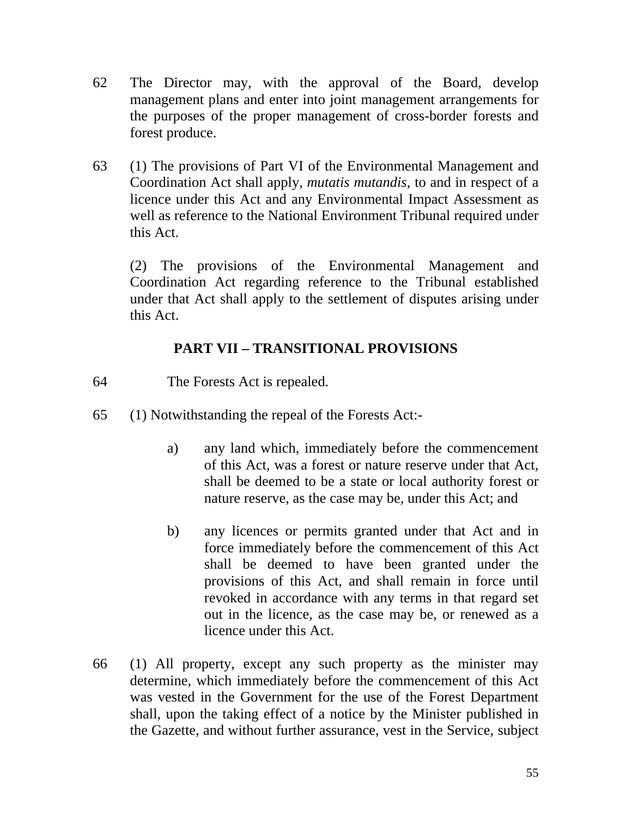- 62 The Director may, with the approval of the Board, develop management plans and enter into joint management arrangements for the purposes of the proper management of cross-border forests and forest produce.
- 63 (1) The provisions of Part VI of the Environmental Management and Coordination Act shall apply, *mutatis mutandis*, to and in respect of a licence under this Act and any Environmental Impact Assessment as well as reference to the National Environment Tribunal required under this Act.

 (2) The provisions of the Environmental Management and Coordination Act regarding reference to the Tribunal established under that Act shall apply to the settlement of disputes arising under this Act.

## **PART VII – TRANSITIONAL PROVISIONS**

- 64 The Forests Act is repealed.
- 65 (1) Notwithstanding the repeal of the Forests Act:
	- a) any land which, immediately before the commencement of this Act, was a forest or nature reserve under that Act, shall be deemed to be a state or local authority forest or nature reserve, as the case may be, under this Act; and
	- b) any licences or permits granted under that Act and in force immediately before the commencement of this Act shall be deemed to have been granted under the provisions of this Act, and shall remain in force until revoked in accordance with any terms in that regard set out in the licence, as the case may be, or renewed as a licence under this Act.
- 66 (1) All property, except any such property as the minister may determine, which immediately before the commencement of this Act was vested in the Government for the use of the Forest Department shall, upon the taking effect of a notice by the Minister published in the Gazette, and without further assurance, vest in the Service, subject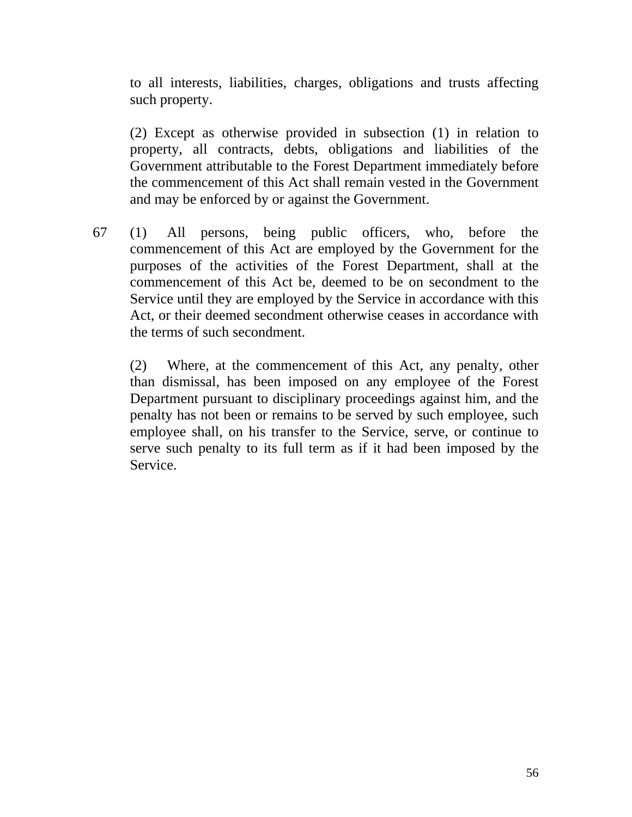to all interests, liabilities, charges, obligations and trusts affecting such property.

(2) Except as otherwise provided in subsection (1) in relation to property, all contracts, debts, obligations and liabilities of the Government attributable to the Forest Department immediately before the commencement of this Act shall remain vested in the Government and may be enforced by or against the Government.

67 (1) All persons, being public officers, who, before the commencement of this Act are employed by the Government for the purposes of the activities of the Forest Department, shall at the commencement of this Act be, deemed to be on secondment to the Service until they are employed by the Service in accordance with this Act, or their deemed secondment otherwise ceases in accordance with the terms of such secondment.

(2) Where, at the commencement of this Act, any penalty, other than dismissal, has been imposed on any employee of the Forest Department pursuant to disciplinary proceedings against him, and the penalty has not been or remains to be served by such employee, such employee shall, on his transfer to the Service, serve, or continue to serve such penalty to its full term as if it had been imposed by the Service.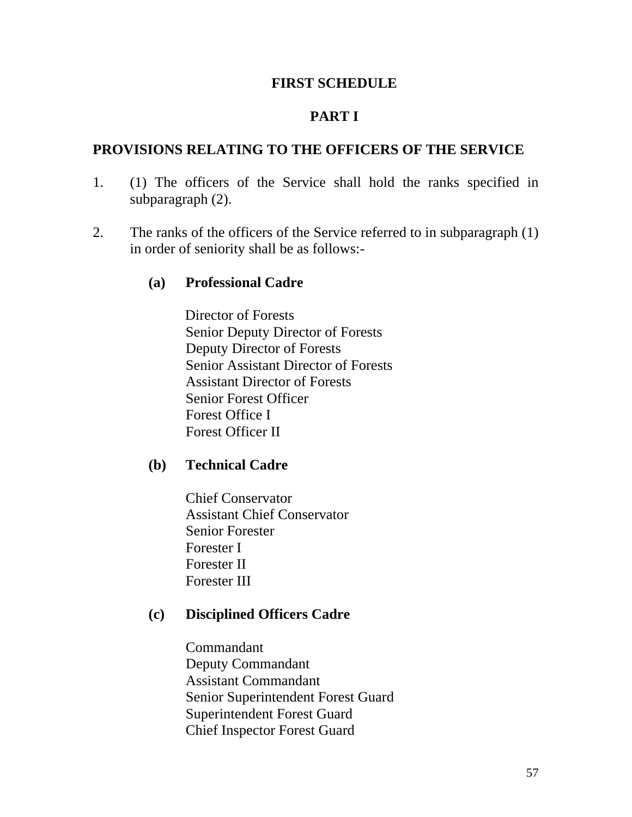#### **FIRST SCHEDULE**

### **PART I**

#### **PROVISIONS RELATING TO THE OFFICERS OF THE SERVICE**

- 1. (1) The officers of the Service shall hold the ranks specified in subparagraph (2).
- 2. The ranks of the officers of the Service referred to in subparagraph (1) in order of seniority shall be as follows:-

#### **(a) Professional Cadre**

 Director of Forests Senior Deputy Director of Forests Deputy Director of Forests Senior Assistant Director of Forests Assistant Director of Forests Senior Forest Officer Forest Office I Forest Officer II

#### **(b) Technical Cadre**

Chief Conservator Assistant Chief Conservator Senior Forester Forester I Forester II Forester III

#### **(c) Disciplined Officers Cadre**

Commandant Deputy Commandant Assistant Commandant Senior Superintendent Forest Guard Superintendent Forest Guard Chief Inspector Forest Guard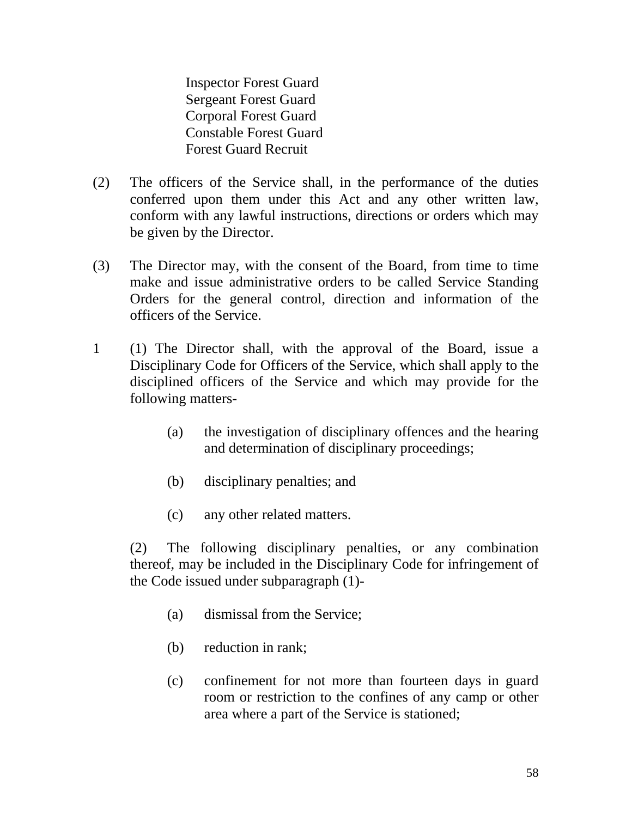Inspector Forest Guard Sergeant Forest Guard Corporal Forest Guard Constable Forest Guard Forest Guard Recruit

- (2) The officers of the Service shall, in the performance of the duties conferred upon them under this Act and any other written law, conform with any lawful instructions, directions or orders which may be given by the Director.
- (3) The Director may, with the consent of the Board, from time to time make and issue administrative orders to be called Service Standing Orders for the general control, direction and information of the officers of the Service.
- 1 (1) The Director shall, with the approval of the Board, issue a Disciplinary Code for Officers of the Service, which shall apply to the disciplined officers of the Service and which may provide for the following matters-
	- (a) the investigation of disciplinary offences and the hearing and determination of disciplinary proceedings;
	- (b) disciplinary penalties; and
	- (c) any other related matters.

(2) The following disciplinary penalties, or any combination thereof, may be included in the Disciplinary Code for infringement of the Code issued under subparagraph (1)-

- (a) dismissal from the Service;
- (b) reduction in rank;
- (c) confinement for not more than fourteen days in guard room or restriction to the confines of any camp or other area where a part of the Service is stationed;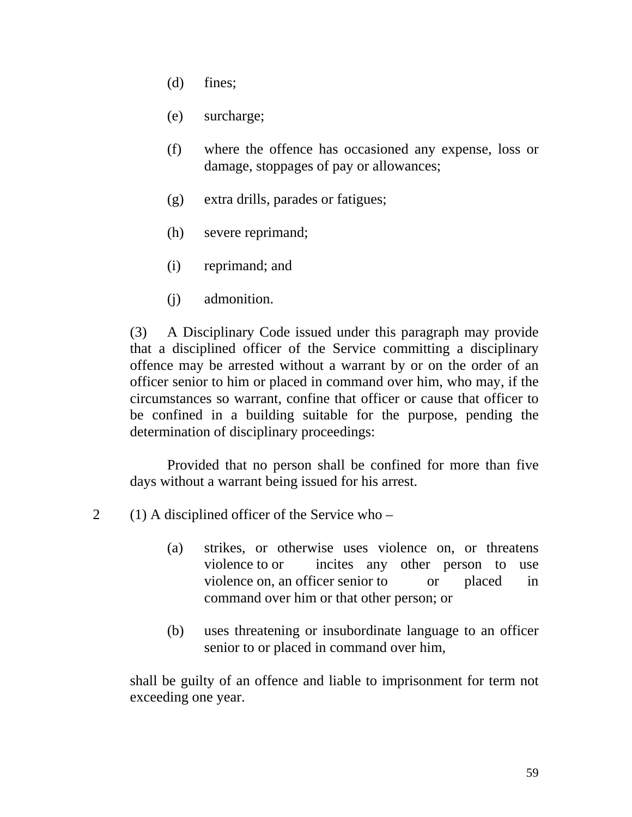- (d) fines;
- (e) surcharge;
- (f) where the offence has occasioned any expense, loss or damage, stoppages of pay or allowances;
- (g) extra drills, parades or fatigues;
- (h) severe reprimand;
- (i) reprimand; and
- (j) admonition.

(3) A Disciplinary Code issued under this paragraph may provide that a disciplined officer of the Service committing a disciplinary offence may be arrested without a warrant by or on the order of an officer senior to him or placed in command over him, who may, if the circumstances so warrant, confine that officer or cause that officer to be confined in a building suitable for the purpose, pending the determination of disciplinary proceedings:

 Provided that no person shall be confined for more than five days without a warrant being issued for his arrest.

- 2 (1) A disciplined officer of the Service who
	- (a) strikes, or otherwise uses violence on, or threatens violence to or incites any other person to use violence on, an officer senior to or placed in command over him or that other person; or
	- (b) uses threatening or insubordinate language to an officer senior to or placed in command over him,

 shall be guilty of an offence and liable to imprisonment for term not exceeding one year.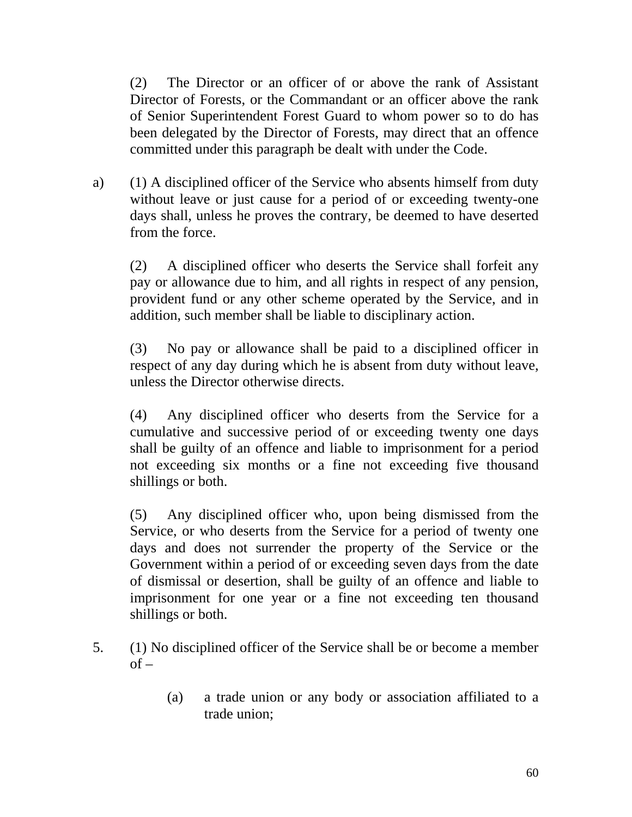(2) The Director or an officer of or above the rank of Assistant Director of Forests, or the Commandant or an officer above the rank of Senior Superintendent Forest Guard to whom power so to do has been delegated by the Director of Forests, may direct that an offence committed under this paragraph be dealt with under the Code.

a) (1) A disciplined officer of the Service who absents himself from duty without leave or just cause for a period of or exceeding twenty-one days shall, unless he proves the contrary, be deemed to have deserted from the force.

(2) A disciplined officer who deserts the Service shall forfeit any pay or allowance due to him, and all rights in respect of any pension, provident fund or any other scheme operated by the Service, and in addition, such member shall be liable to disciplinary action.

(3) No pay or allowance shall be paid to a disciplined officer in respect of any day during which he is absent from duty without leave, unless the Director otherwise directs.

(4) Any disciplined officer who deserts from the Service for a cumulative and successive period of or exceeding twenty one days shall be guilty of an offence and liable to imprisonment for a period not exceeding six months or a fine not exceeding five thousand shillings or both.

(5) Any disciplined officer who, upon being dismissed from the Service, or who deserts from the Service for a period of twenty one days and does not surrender the property of the Service or the Government within a period of or exceeding seven days from the date of dismissal or desertion, shall be guilty of an offence and liable to imprisonment for one year or a fine not exceeding ten thousand shillings or both.

- 5. (1) No disciplined officer of the Service shall be or become a member  $of -$ 
	- (a) a trade union or any body or association affiliated to a trade union;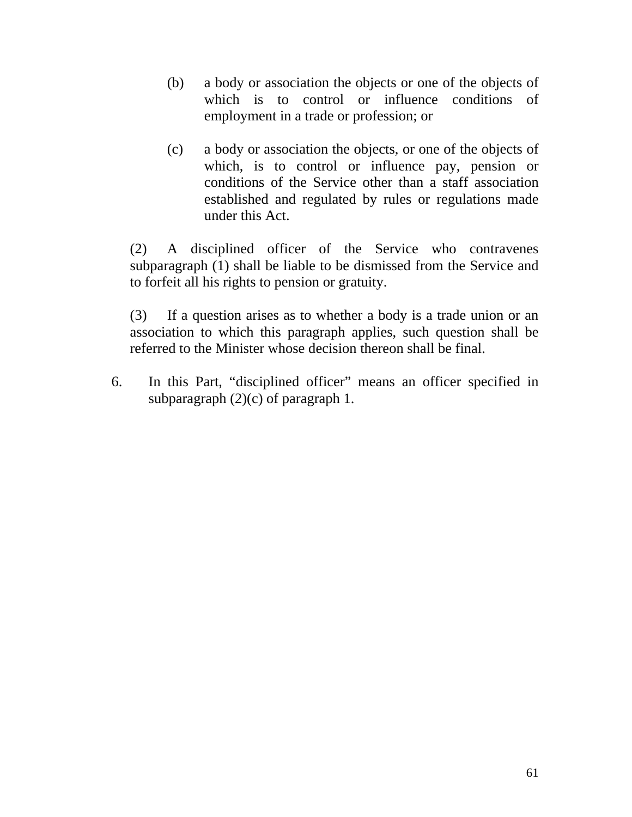- (b) a body or association the objects or one of the objects of which is to control or influence conditions of employment in a trade or profession; or
- (c) a body or association the objects, or one of the objects of which, is to control or influence pay, pension or conditions of the Service other than a staff association established and regulated by rules or regulations made under this Act.

(2) A disciplined officer of the Service who contravenes subparagraph (1) shall be liable to be dismissed from the Service and to forfeit all his rights to pension or gratuity.

(3) If a question arises as to whether a body is a trade union or an association to which this paragraph applies, such question shall be referred to the Minister whose decision thereon shall be final.

6. In this Part, "disciplined officer" means an officer specified in subparagraph (2)(c) of paragraph 1.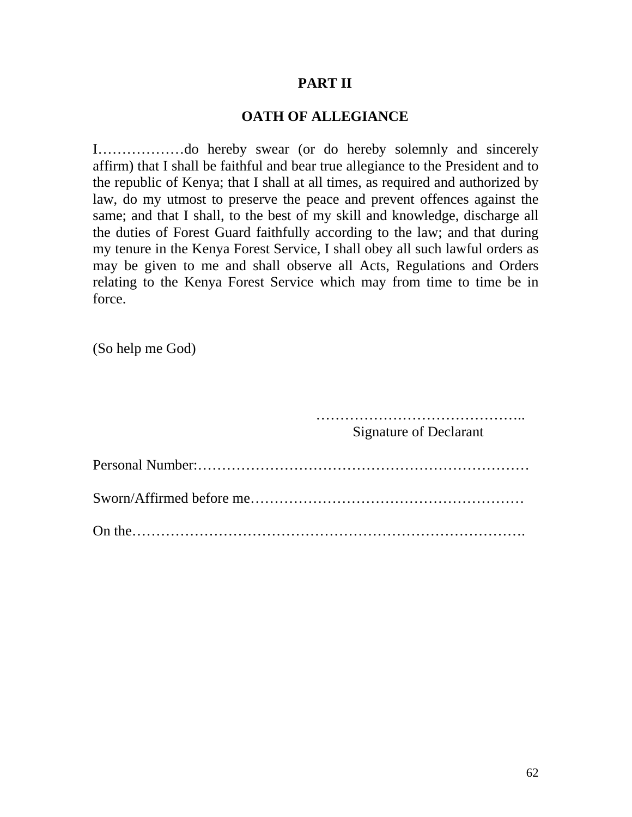#### **PART II**

### **OATH OF ALLEGIANCE**

I………………do hereby swear (or do hereby solemnly and sincerely affirm) that I shall be faithful and bear true allegiance to the President and to the republic of Kenya; that I shall at all times, as required and authorized by law, do my utmost to preserve the peace and prevent offences against the same; and that I shall, to the best of my skill and knowledge, discharge all the duties of Forest Guard faithfully according to the law; and that during my tenure in the Kenya Forest Service, I shall obey all such lawful orders as may be given to me and shall observe all Acts, Regulations and Orders relating to the Kenya Forest Service which may from time to time be in force.

(So help me God)

……………………………………..

Signature of Declarant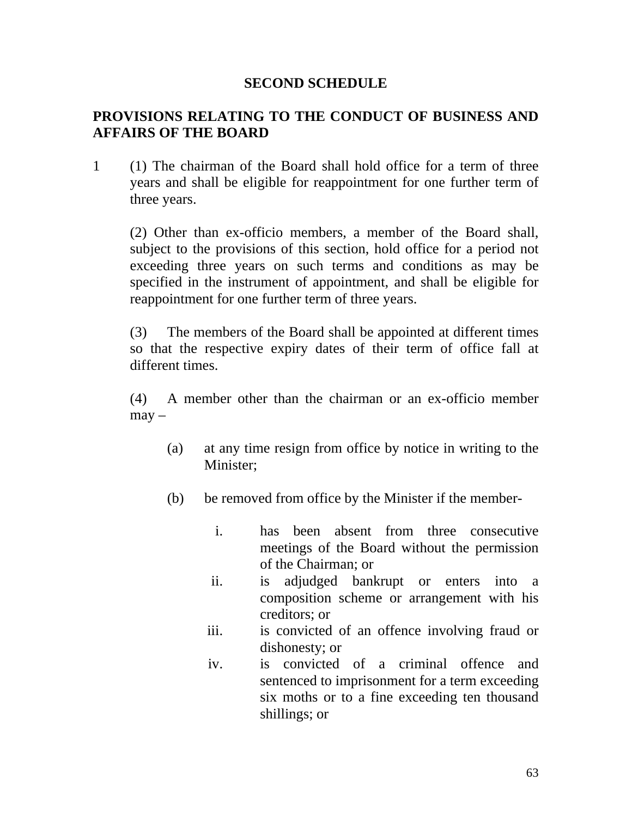### **SECOND SCHEDULE**

## **PROVISIONS RELATING TO THE CONDUCT OF BUSINESS AND AFFAIRS OF THE BOARD**

1 (1) The chairman of the Board shall hold office for a term of three years and shall be eligible for reappointment for one further term of three years.

(2) Other than ex-officio members, a member of the Board shall, subject to the provisions of this section, hold office for a period not exceeding three years on such terms and conditions as may be specified in the instrument of appointment, and shall be eligible for reappointment for one further term of three years.

(3) The members of the Board shall be appointed at different times so that the respective expiry dates of their term of office fall at different times.

(4) A member other than the chairman or an ex-officio member  $\text{max}$  –

- (a) at any time resign from office by notice in writing to the Minister;
- (b) be removed from office by the Minister if the member
	- i. has been absent from three consecutive meetings of the Board without the permission of the Chairman; or
	- ii. is adjudged bankrupt or enters into a composition scheme or arrangement with his creditors; or
	- iii. is convicted of an offence involving fraud or dishonesty; or
	- iv. is convicted of a criminal offence and sentenced to imprisonment for a term exceeding six moths or to a fine exceeding ten thousand shillings; or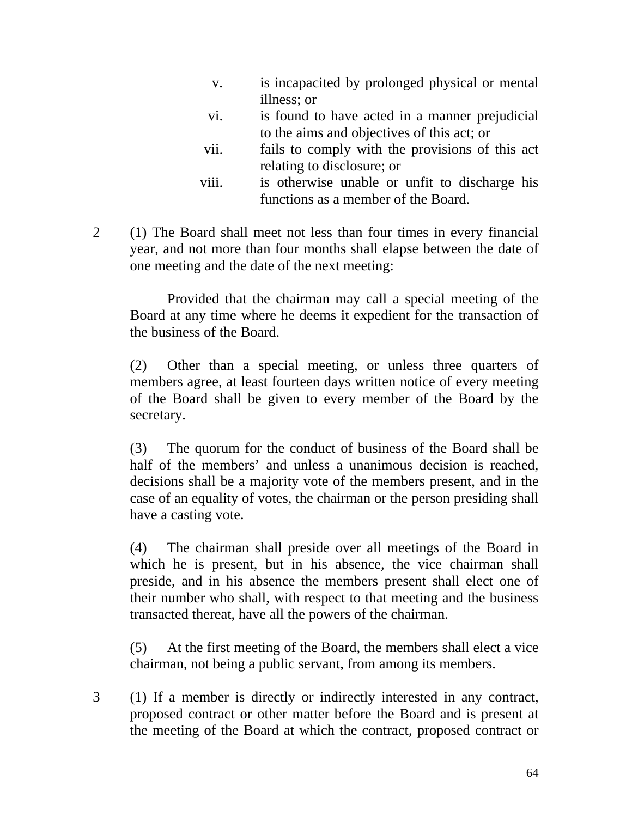- v. is incapacited by prolonged physical or mental illness; or
- vi. is found to have acted in a manner prejudicial to the aims and objectives of this act; or
- vii. fails to comply with the provisions of this act relating to disclosure; or
- viii. is otherwise unable or unfit to discharge his functions as a member of the Board.
- 2 (1) The Board shall meet not less than four times in every financial year, and not more than four months shall elapse between the date of one meeting and the date of the next meeting:

 Provided that the chairman may call a special meeting of the Board at any time where he deems it expedient for the transaction of the business of the Board.

(2) Other than a special meeting, or unless three quarters of members agree, at least fourteen days written notice of every meeting of the Board shall be given to every member of the Board by the secretary.

(3) The quorum for the conduct of business of the Board shall be half of the members' and unless a unanimous decision is reached, decisions shall be a majority vote of the members present, and in the case of an equality of votes, the chairman or the person presiding shall have a casting vote.

(4) The chairman shall preside over all meetings of the Board in which he is present, but in his absence, the vice chairman shall preside, and in his absence the members present shall elect one of their number who shall, with respect to that meeting and the business transacted thereat, have all the powers of the chairman.

(5) At the first meeting of the Board, the members shall elect a vice chairman, not being a public servant, from among its members.

3 (1) If a member is directly or indirectly interested in any contract, proposed contract or other matter before the Board and is present at the meeting of the Board at which the contract, proposed contract or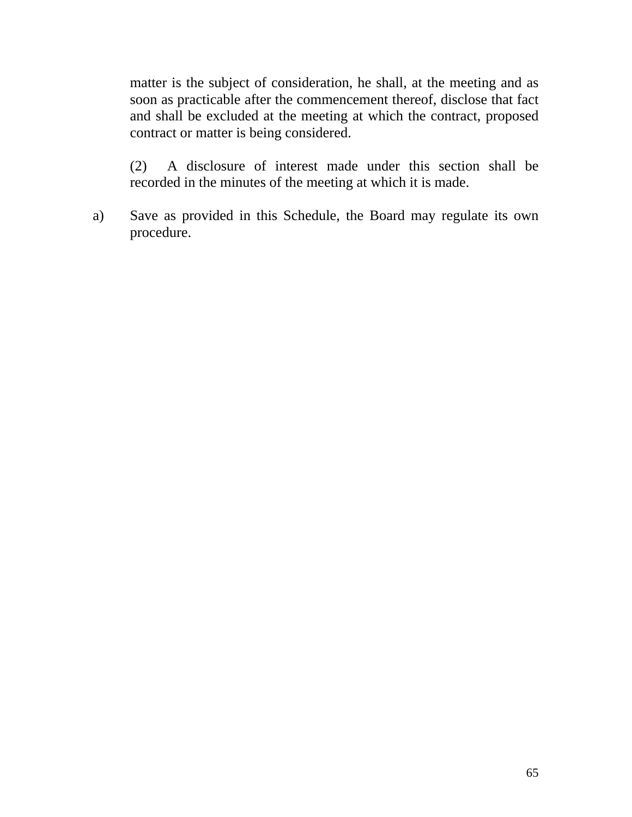matter is the subject of consideration, he shall, at the meeting and as soon as practicable after the commencement thereof, disclose that fact and shall be excluded at the meeting at which the contract, proposed contract or matter is being considered.

(2) A disclosure of interest made under this section shall be recorded in the minutes of the meeting at which it is made.

a) Save as provided in this Schedule, the Board may regulate its own procedure.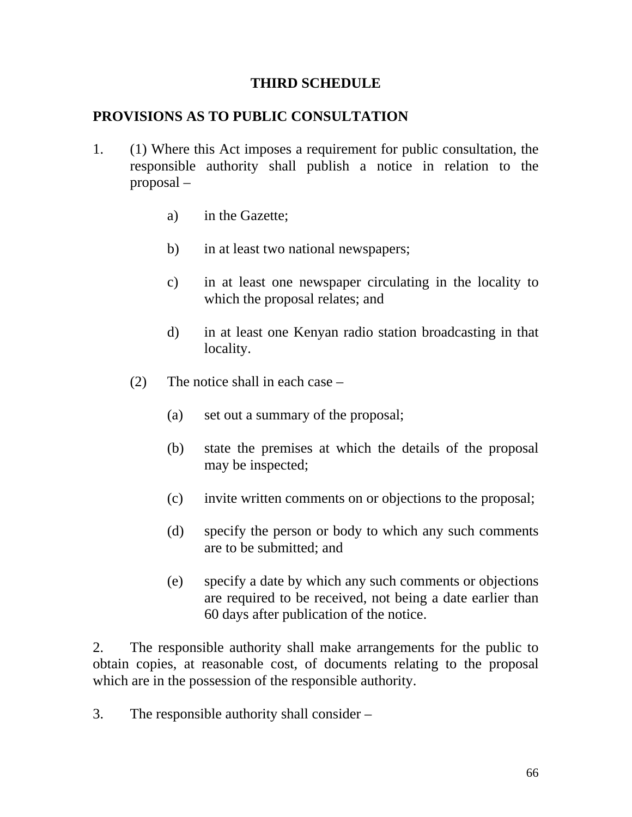### **THIRD SCHEDULE**

### **PROVISIONS AS TO PUBLIC CONSULTATION**

- 1. (1) Where this Act imposes a requirement for public consultation, the responsible authority shall publish a notice in relation to the proposal –
	- a) in the Gazette;
	- b) in at least two national newspapers;
	- c) in at least one newspaper circulating in the locality to which the proposal relates; and
	- d) in at least one Kenyan radio station broadcasting in that locality.
	- (2) The notice shall in each case
		- (a) set out a summary of the proposal;
		- (b) state the premises at which the details of the proposal may be inspected;
		- (c) invite written comments on or objections to the proposal;
		- (d) specify the person or body to which any such comments are to be submitted; and
		- (e) specify a date by which any such comments or objections are required to be received, not being a date earlier than 60 days after publication of the notice.

2. The responsible authority shall make arrangements for the public to obtain copies, at reasonable cost, of documents relating to the proposal which are in the possession of the responsible authority.

3. The responsible authority shall consider –